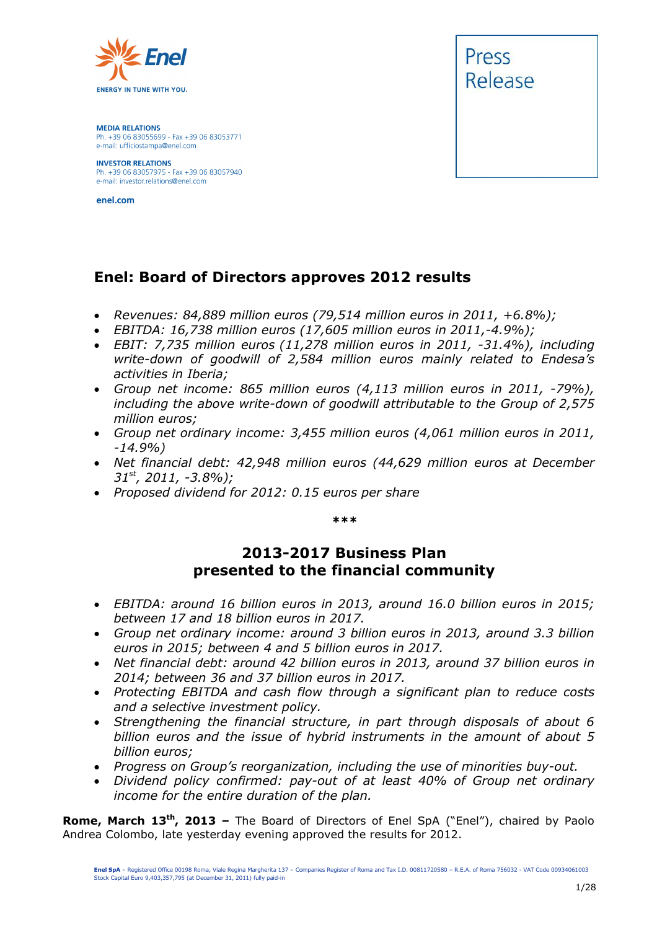

**MEDIA RELATIONS** Ph. +39 06 83055699 - Fax +39 06 83053771 e-mail: ufficiostampa@enel.com

**INVESTOR RELATIONS** Ph. +39 06 83057975 - Fax +39 06 83057940 e-mail: investor.relations@enel.com

enel.com



## **Enel: Board of Directors approves 2012 results**

- *Revenues: 84,889 million euros (79,514 million euros in 2011, +6.8%);*
- *EBITDA: 16,738 million euros (17,605 million euros in 2011,-4.9%);*
- *EBIT: 7,735 million euros (11,278 million euros in 2011, -31.4%), including write-down of goodwill of 2,584 million euros mainly related to Endesa's activities in Iberia;*
- *Group net income: 865 million euros (4,113 million euros in 2011, -79%), including the above write-down of goodwill attributable to the Group of 2,575 million euros;*
- *Group net ordinary income: 3,455 million euros (4,061 million euros in 2011, -14.9%)*
- *Net financial debt: 42,948 million euros (44,629 million euros at December 31st, 2011, -3.8%);*
- *Proposed dividend for 2012: 0.15 euros per share*

*\*\*\**

## **2013-2017 Business Plan presented to the financial community**

- *EBITDA: around 16 billion euros in 2013, around 16.0 billion euros in 2015; between 17 and 18 billion euros in 2017.*
- *Group net ordinary income: around 3 billion euros in 2013, around 3.3 billion euros in 2015; between 4 and 5 billion euros in 2017.*
- *Net financial debt: around 42 billion euros in 2013, around 37 billion euros in 2014; between 36 and 37 billion euros in 2017.*
- *Protecting EBITDA and cash flow through a significant plan to reduce costs and a selective investment policy.*
- *Strengthening the financial structure, in part through disposals of about 6 billion euros and the issue of hybrid instruments in the amount of about 5 billion euros;*
- *Progress on Group's reorganization, including the use of minorities buy-out.*
- *Dividend policy confirmed: pay-out of at least 40% of Group net ordinary income for the entire duration of the plan.*

**Rome, March 13th, 2013 –** The Board of Directors of Enel SpA ("Enel"), chaired by Paolo Andrea Colombo, late yesterday evening approved the results for 2012.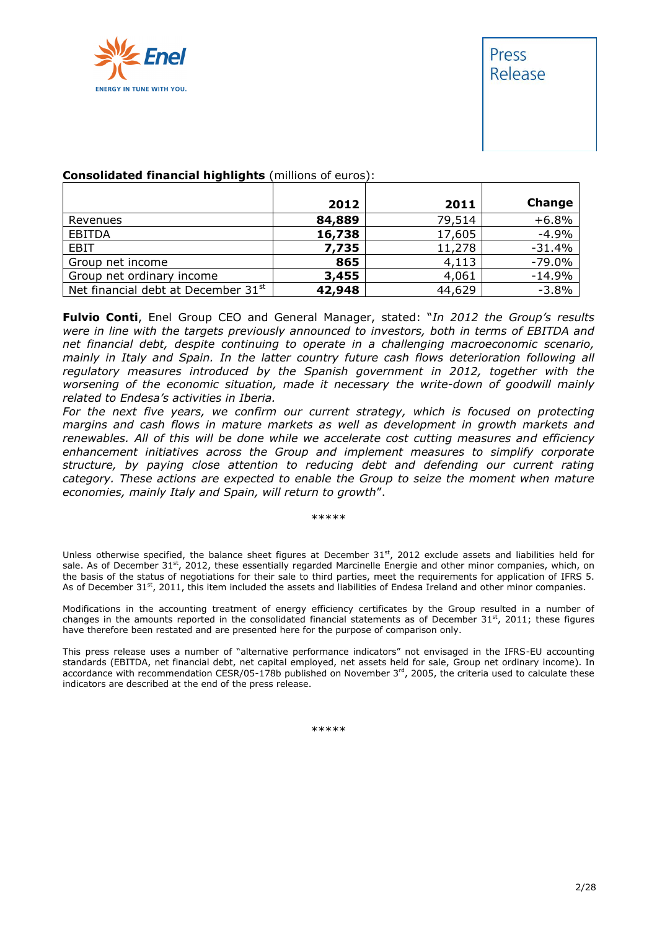

# Press Release

|                                                 | 2012   | 2011   | Change    |
|-------------------------------------------------|--------|--------|-----------|
| Revenues                                        | 84,889 | 79,514 | $+6.8%$   |
| EBITDA                                          | 16,738 | 17,605 | $-4.9%$   |
| EBIT                                            | 7,735  | 11,278 | $-31.4%$  |
| Group net income                                | 865    | 4,113  | $-79.0\%$ |
| Group net ordinary income                       | 3,455  | 4,061  | $-14.9%$  |
| Net financial debt at December 31 <sup>st</sup> | 42,948 | 44,629 | $-3.8%$   |

#### **Consolidated financial highlights** (millions of euros):

**Fulvio Conti**, Enel Group CEO and General Manager, stated: "*In 2012 the Group's results were in line with the targets previously announced to investors, both in terms of EBITDA and net financial debt, despite continuing to operate in a challenging macroeconomic scenario, mainly in Italy and Spain. In the latter country future cash flows deterioration following all regulatory measures introduced by the Spanish government in 2012, together with the worsening of the economic situation, made it necessary the write-down of goodwill mainly related to Endesa's activities in Iberia.*

*For the next five years, we confirm our current strategy, which is focused on protecting margins and cash flows in mature markets as well as development in growth markets and renewables. All of this will be done while we accelerate cost cutting measures and efficiency enhancement initiatives across the Group and implement measures to simplify corporate structure, by paying close attention to reducing debt and defending our current rating category. These actions are expected to enable the Group to seize the moment when mature economies, mainly Italy and Spain, will return to growth*".

\*\*\*\*\*

Unless otherwise specified, the balance sheet figures at December 31st, 2012 exclude assets and liabilities held for sale. As of December 31<sup>st</sup>, 2012, these essentially regarded Marcinelle Energie and other minor companies, which, on the basis of the status of negotiations for their sale to third parties, meet the requirements for application of IFRS 5. As of December 31<sup>st</sup>, 2011, this item included the assets and liabilities of Endesa Ireland and other minor companies.

Modifications in the accounting treatment of energy efficiency certificates by the Group resulted in a number of changes in the amounts reported in the consolidated financial statements as of December  $31^{st}$ , 2011; these figures have therefore been restated and are presented here for the purpose of comparison only.

This press release uses a number of "alternative performance indicators" not envisaged in the IFRS-EU accounting standards (EBITDA, net financial debt, net capital employed, net assets held for sale, Group net ordinary income). In accordance with recommendation CESR/05-178b published on November  $3<sup>rd</sup>$ , 2005, the criteria used to calculate these indicators are described at the end of the press release.

\*\*\*\*\*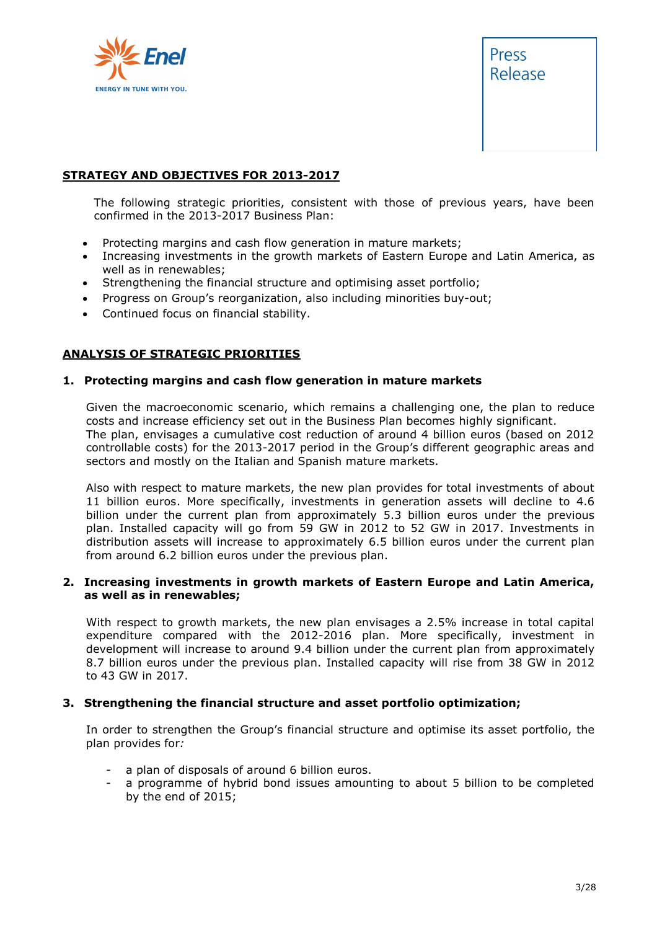



#### **STRATEGY AND OBJECTIVES FOR 2013-2017**

The following strategic priorities, consistent with those of previous years, have been confirmed in the 2013-2017 Business Plan:

- Protecting margins and cash flow generation in mature markets;
- Increasing investments in the growth markets of Eastern Europe and Latin America, as well as in renewables;
- Strengthening the financial structure and optimising asset portfolio;
- Progress on Group's reorganization, also including minorities buy-out;
- Continued focus on financial stability.

#### **ANALYSIS OF STRATEGIC PRIORITIES**

#### **1. Protecting margins and cash flow generation in mature markets**

Given the macroeconomic scenario, which remains a challenging one, the plan to reduce costs and increase efficiency set out in the Business Plan becomes highly significant. The plan, envisages a cumulative cost reduction of around 4 billion euros (based on 2012 controllable costs) for the 2013-2017 period in the Group's different geographic areas and sectors and mostly on the Italian and Spanish mature markets.

Also with respect to mature markets, the new plan provides for total investments of about 11 billion euros. More specifically, investments in generation assets will decline to 4.6 billion under the current plan from approximately 5.3 billion euros under the previous plan. Installed capacity will go from 59 GW in 2012 to 52 GW in 2017. Investments in distribution assets will increase to approximately 6.5 billion euros under the current plan from around 6.2 billion euros under the previous plan.

#### **2. Increasing investments in growth markets of Eastern Europe and Latin America, as well as in renewables;**

With respect to growth markets, the new plan envisages a 2.5% increase in total capital expenditure compared with the 2012-2016 plan. More specifically, investment in development will increase to around 9.4 billion under the current plan from approximately 8.7 billion euros under the previous plan. Installed capacity will rise from 38 GW in 2012 to 43 GW in 2017.

#### **3. Strengthening the financial structure and asset portfolio optimization;**

In order to strengthen the Group's financial structure and optimise its asset portfolio, the plan provides for*:*

- a plan of disposals of around 6 billion euros.
- a programme of hybrid bond issues amounting to about 5 billion to be completed by the end of 2015;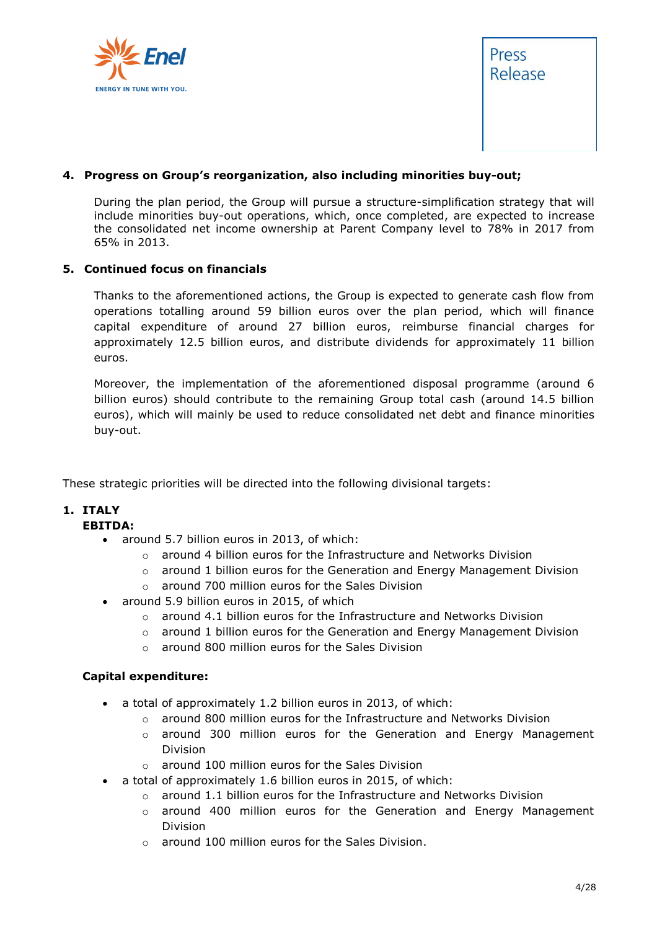



#### **4. Progress on Group's reorganization, also including minorities buy-out;**

During the plan period, the Group will pursue a structure-simplification strategy that will include minorities buy-out operations, which, once completed, are expected to increase the consolidated net income ownership at Parent Company level to 78% in 2017 from 65% in 2013.

#### **5. Continued focus on financials**

Thanks to the aforementioned actions, the Group is expected to generate cash flow from operations totalling around 59 billion euros over the plan period, which will finance capital expenditure of around 27 billion euros, reimburse financial charges for approximately 12.5 billion euros, and distribute dividends for approximately 11 billion euros.

Moreover, the implementation of the aforementioned disposal programme (around 6 billion euros) should contribute to the remaining Group total cash (around 14.5 billion euros), which will mainly be used to reduce consolidated net debt and finance minorities buy-out.

These strategic priorities will be directed into the following divisional targets:

#### **1. ITALY**

#### **EBITDA:**

- around 5.7 billion euros in 2013, of which:
	- $\circ$  around 4 billion euros for the Infrastructure and Networks Division
	- $\circ$  around 1 billion euros for the Generation and Energy Management Division
	- o around 700 million euros for the Sales Division
- around 5.9 billion euros in 2015, of which
	- $\circ$  around 4.1 billion euros for the Infrastructure and Networks Division
	- $\circ$  around 1 billion euros for the Generation and Energy Management Division
	- o around 800 million euros for the Sales Division

#### **Capital expenditure:**

- a total of approximately 1.2 billion euros in 2013, of which:
	- o around 800 million euros for the Infrastructure and Networks Division
	- $\circ$  around 300 million euros for the Generation and Energy Management Division
	- o around 100 million euros for the Sales Division
- a total of approximately 1.6 billion euros in 2015, of which:
	- o around 1.1 billion euros for the Infrastructure and Networks Division
	- $\circ$  around 400 million euros for the Generation and Energy Management Division
	- o around 100 million euros for the Sales Division.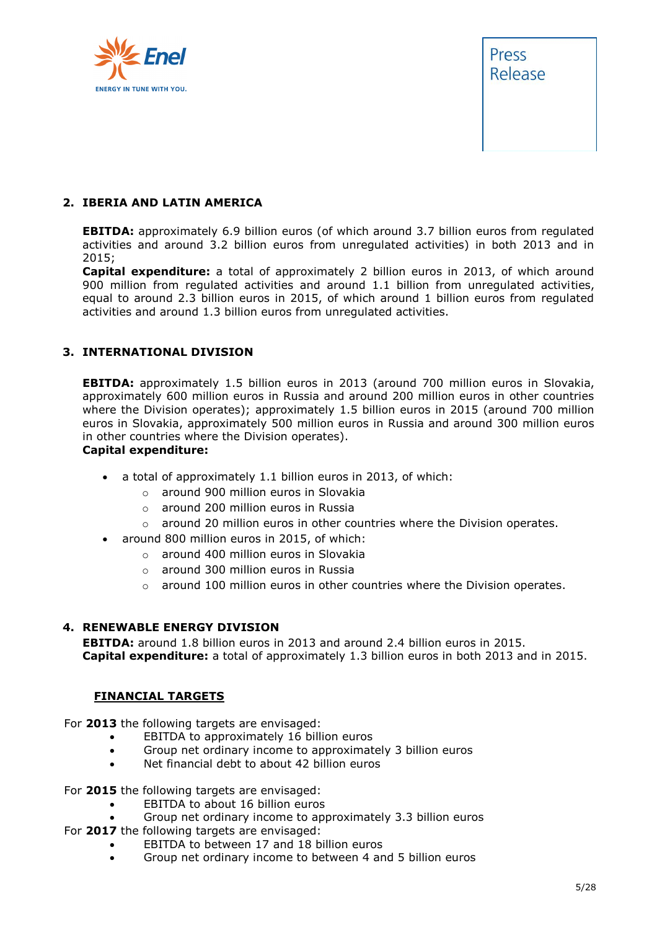



#### **2. IBERIA AND LATIN AMERICA**

**EBITDA:** approximately 6.9 billion euros (of which around 3.7 billion euros from regulated activities and around 3.2 billion euros from unregulated activities) in both 2013 and in 2015;

**Capital expenditure:** a total of approximately 2 billion euros in 2013, of which around 900 million from regulated activities and around 1.1 billion from unregulated activities, equal to around 2.3 billion euros in 2015, of which around 1 billion euros from regulated activities and around 1.3 billion euros from unregulated activities.

#### **3. INTERNATIONAL DIVISION**

**EBITDA:** approximately 1.5 billion euros in 2013 (around 700 million euros in Slovakia, approximately 600 million euros in Russia and around 200 million euros in other countries where the Division operates); approximately 1.5 billion euros in 2015 (around 700 million euros in Slovakia, approximately 500 million euros in Russia and around 300 million euros in other countries where the Division operates).

#### **Capital expenditure:**

- a total of approximately 1.1 billion euros in 2013, of which:
	- o around 900 million euros in Slovakia
	- o around 200 million euros in Russia
	- $\circ$  around 20 million euros in other countries where the Division operates.
- around 800 million euros in 2015, of which:
	- o around 400 million euros in Slovakia
	- o around 300 million euros in Russia
	- $\circ$  around 100 million euros in other countries where the Division operates.

#### **4. RENEWABLE ENERGY DIVISION**

**EBITDA:** around 1.8 billion euros in 2013 and around 2.4 billion euros in 2015. **Capital expenditure:** a total of approximately 1.3 billion euros in both 2013 and in 2015.

#### **FINANCIAL TARGETS**

For **2013** the following targets are envisaged:

- EBITDA to approximately 16 billion euros
- Group net ordinary income to approximately 3 billion euros
- Net financial debt to about 42 billion euros

For **2015** the following targets are envisaged:

- EBITDA to about 16 billion euros
- Group net ordinary income to approximately 3.3 billion euros
- For **2017** the following targets are envisaged:
	- EBITDA to between 17 and 18 billion euros
		- Group net ordinary income to between 4 and 5 billion euros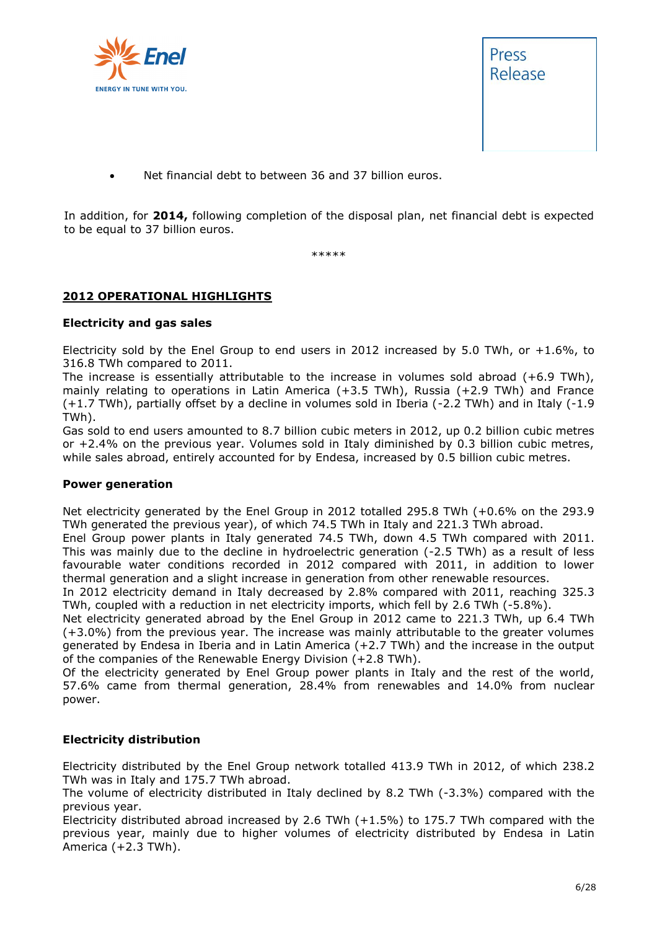



Net financial debt to between 36 and 37 billion euros.

In addition, for **2014,** following completion of the disposal plan, net financial debt is expected to be equal to 37 billion euros.

\*\*\*\*\*

#### **2012 OPERATIONAL HIGHLIGHTS**

#### **Electricity and gas sales**

Electricity sold by the Enel Group to end users in 2012 increased by 5.0 TWh, or  $+1.6\%$ , to 316.8 TWh compared to 2011.

The increase is essentially attributable to the increase in volumes sold abroad (+6.9 TWh), mainly relating to operations in Latin America (+3.5 TWh), Russia (+2.9 TWh) and France (+1.7 TWh), partially offset by a decline in volumes sold in Iberia (-2.2 TWh) and in Italy (-1.9 TWh).

Gas sold to end users amounted to 8.7 billion cubic meters in 2012, up 0.2 billion cubic metres or +2.4% on the previous year. Volumes sold in Italy diminished by 0.3 billion cubic metres, while sales abroad, entirely accounted for by Endesa, increased by 0.5 billion cubic metres.

#### **Power generation**

Net electricity generated by the Enel Group in 2012 totalled 295.8 TWh (+0.6% on the 293.9 TWh generated the previous year), of which 74.5 TWh in Italy and 221.3 TWh abroad.

Enel Group power plants in Italy generated 74.5 TWh, down 4.5 TWh compared with 2011. This was mainly due to the decline in hydroelectric generation (-2.5 TWh) as a result of less favourable water conditions recorded in 2012 compared with 2011, in addition to lower thermal generation and a slight increase in generation from other renewable resources.

In 2012 electricity demand in Italy decreased by 2.8% compared with 2011, reaching 325.3 TWh, coupled with a reduction in net electricity imports, which fell by 2.6 TWh (-5.8%).

Net electricity generated abroad by the Enel Group in 2012 came to 221.3 TWh, up 6.4 TWh (+3.0%) from the previous year. The increase was mainly attributable to the greater volumes generated by Endesa in Iberia and in Latin America (+2.7 TWh) and the increase in the output of the companies of the Renewable Energy Division (+2.8 TWh).

Of the electricity generated by Enel Group power plants in Italy and the rest of the world, 57.6% came from thermal generation, 28.4% from renewables and 14.0% from nuclear power.

#### **Electricity distribution**

Electricity distributed by the Enel Group network totalled 413.9 TWh in 2012, of which 238.2 TWh was in Italy and 175.7 TWh abroad.

The volume of electricity distributed in Italy declined by 8.2 TWh (-3.3%) compared with the previous year.

Electricity distributed abroad increased by 2.6 TWh  $(+1.5%)$  to 175.7 TWh compared with the previous year, mainly due to higher volumes of electricity distributed by Endesa in Latin America (+2.3 TWh).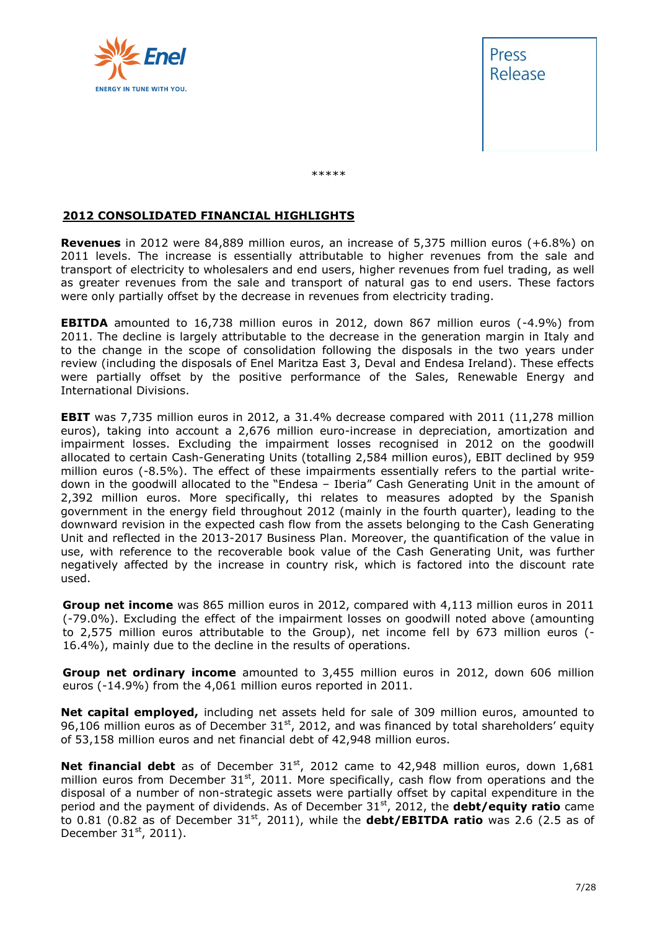



\*\*\*\*\*

#### **2012 CONSOLIDATED FINANCIAL HIGHLIGHTS**

**Revenues** in 2012 were 84,889 million euros, an increase of 5,375 million euros (+6.8%) on 2011 levels. The increase is essentially attributable to higher revenues from the sale and transport of electricity to wholesalers and end users, higher revenues from fuel trading, as well as greater revenues from the sale and transport of natural gas to end users. These factors were only partially offset by the decrease in revenues from electricity trading.

**EBITDA** amounted to 16,738 million euros in 2012, down 867 million euros (-4.9%) from 2011. The decline is largely attributable to the decrease in the generation margin in Italy and to the change in the scope of consolidation following the disposals in the two years under review (including the disposals of Enel Maritza East 3, Deval and Endesa Ireland). These effects were partially offset by the positive performance of the Sales, Renewable Energy and International Divisions.

**EBIT** was 7,735 million euros in 2012, a 31.4% decrease compared with 2011 (11,278 million euros), taking into account a 2,676 million euro-increase in depreciation, amortization and impairment losses. Excluding the impairment losses recognised in 2012 on the goodwill allocated to certain Cash-Generating Units (totalling 2,584 million euros), EBIT declined by 959 million euros (-8.5%). The effect of these impairments essentially refers to the partial writedown in the goodwill allocated to the "Endesa – Iberia" Cash Generating Unit in the amount of 2,392 million euros. More specifically, thi relates to measures adopted by the Spanish government in the energy field throughout 2012 (mainly in the fourth quarter), leading to the downward revision in the expected cash flow from the assets belonging to the Cash Generating Unit and reflected in the 2013-2017 Business Plan. Moreover, the quantification of the value in use, with reference to the recoverable book value of the Cash Generating Unit, was further negatively affected by the increase in country risk, which is factored into the discount rate used.

**Group net income** was 865 million euros in 2012, compared with 4,113 million euros in 2011 (-79.0%). Excluding the effect of the impairment losses on goodwill noted above (amounting to 2,575 million euros attributable to the Group), net income fell by 673 million euros (- 16.4%), mainly due to the decline in the results of operations.

**Group net ordinary income** amounted to 3,455 million euros in 2012, down 606 million euros (-14.9%) from the 4,061 million euros reported in 2011.

**Net capital employed,** including net assets held for sale of 309 million euros, amounted to 96,106 million euros as of December  $31<sup>st</sup>$ , 2012, and was financed by total shareholders' equity of 53,158 million euros and net financial debt of 42,948 million euros.

**Net financial debt** as of December 31<sup>st</sup>, 2012 came to 42,948 million euros, down 1,681 million euros from December  $31<sup>st</sup>$ , 2011. More specifically, cash flow from operations and the disposal of a number of non-strategic assets were partially offset by capital expenditure in the period and the payment of dividends. As of December 31<sup>st</sup>, 2012, the **debt/equity ratio** came to 0.81 (0.82 as of December 31<sup>st</sup>, 2011), while the **debt/EBITDA ratio** was 2.6 (2.5 as of December  $31<sup>st</sup>$ , 2011).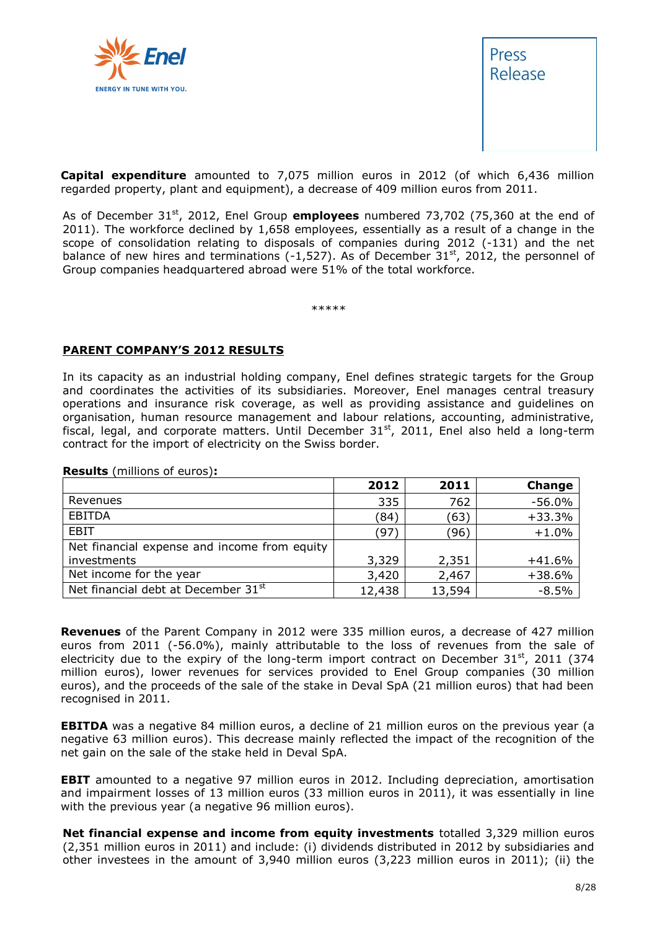



**Capital expenditure** amounted to 7,075 million euros in 2012 (of which 6,436 million regarded property, plant and equipment), a decrease of 409 million euros from 2011.

As of December 31<sup>st</sup>, 2012, Enel Group **employees** numbered 73,702 (75,360 at the end of 2011). The workforce declined by 1,658 employees, essentially as a result of a change in the scope of consolidation relating to disposals of companies during 2012 (-131) and the net balance of new hires and terminations (-1,527). As of December  $31<sup>st</sup>$ , 2012, the personnel of Group companies headquartered abroad were 51% of the total workforce.

\*\*\*\*\*

#### **PARENT COMPANY'S 2012 RESULTS**

In its capacity as an industrial holding company, Enel defines strategic targets for the Group and coordinates the activities of its subsidiaries. Moreover, Enel manages central treasury operations and insurance risk coverage, as well as providing assistance and guidelines on organisation, human resource management and labour relations, accounting, administrative, fiscal, legal, and corporate matters. Until December  $31<sup>st</sup>$ , 2011, Enel also held a long-term contract for the import of electricity on the Swiss border.

|                                              | 2012   | 2011   | Change   |
|----------------------------------------------|--------|--------|----------|
| Revenues                                     | 335    | 762    | $-56.0%$ |
| <b>EBITDA</b>                                | (84)   | (63)   | $+33.3%$ |
| <b>EBIT</b>                                  | (97)   | (96)   | $+1.0%$  |
| Net financial expense and income from equity |        |        |          |
| investments                                  | 3,329  | 2,351  | $+41.6%$ |
| Net income for the year                      | 3,420  | 2,467  | $+38.6%$ |
| Net financial debt at December 31st          | 12,438 | 13,594 | $-8.5%$  |

**Results** (millions of euros)**:**

**Revenues** of the Parent Company in 2012 were 335 million euros, a decrease of 427 million euros from 2011 (-56.0%), mainly attributable to the loss of revenues from the sale of electricity due to the expiry of the long-term import contract on December  $31<sup>st</sup>$ , 2011 (374 million euros), lower revenues for services provided to Enel Group companies (30 million euros), and the proceeds of the sale of the stake in Deval SpA (21 million euros) that had been recognised in 2011.

**EBITDA** was a negative 84 million euros, a decline of 21 million euros on the previous year (a negative 63 million euros). This decrease mainly reflected the impact of the recognition of the net gain on the sale of the stake held in Deval SpA.

**EBIT** amounted to a negative 97 million euros in 2012. Including depreciation, amortisation and impairment losses of 13 million euros (33 million euros in 2011), it was essentially in line with the previous year (a negative 96 million euros).

**Net financial expense and income from equity investments** totalled 3,329 million euros (2,351 million euros in 2011) and include: (i) dividends distributed in 2012 by subsidiaries and other investees in the amount of 3,940 million euros (3,223 million euros in 2011); (ii) the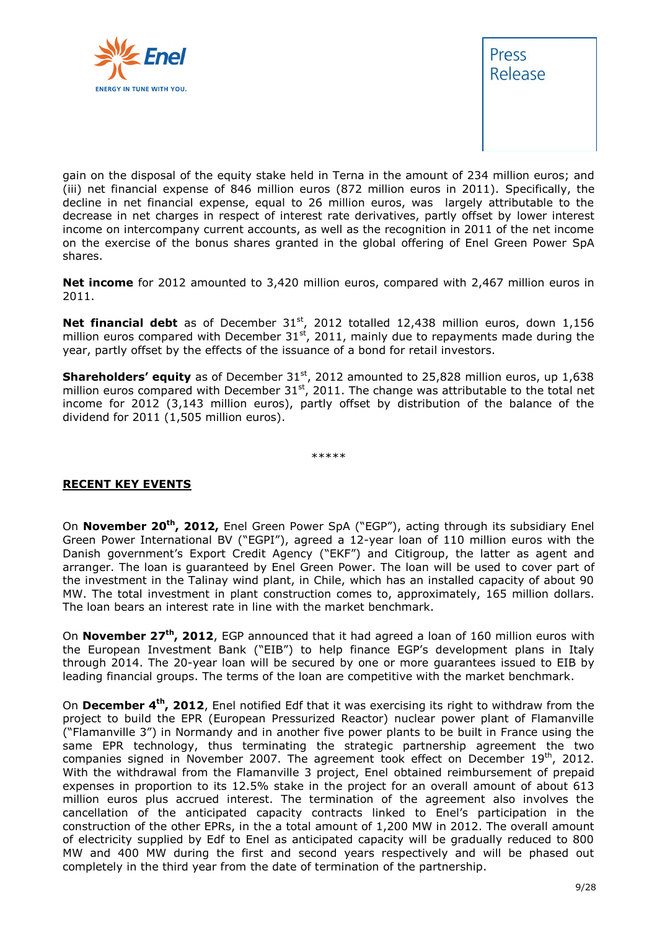



gain on the disposal of the equity stake held in Terna in the amount of 234 million euros; and (iii) net financial expense of 846 million euros (872 million euros in 2011). Specifically, the decline in net financial expense, equal to 26 million euros, was largely attributable to the decrease in net charges in respect of interest rate derivatives, partly offset by lower interest income on intercompany current accounts, as well as the recognition in 2011 of the net income on the exercise of the bonus shares granted in the global offering of Enel Green Power SpA shares.

**Net income** for 2012 amounted to 3,420 million euros, compared with 2,467 million euros in 2011.

**Net financial debt** as of December 31<sup>st</sup>, 2012 totalled 12,438 million euros, down 1,156 million euros compared with December  $31^{st}$ , 2011, mainly due to repayments made during the year, partly offset by the effects of the issuance of a bond for retail investors.

**Shareholders' equity** as of December 31<sup>st</sup>, 2012 amounted to 25,828 million euros, up 1,638 million euros compared with December  $31<sup>st</sup>$ , 2011. The change was attributable to the total net income for 2012 (3,143 million euros), partly offset by distribution of the balance of the dividend for 2011 (1,505 million euros).

\*\*\*\*\*

#### **RECENT KEY EVENTS**

On **November 20th, 2012,** Enel Green Power SpA ("EGP"), acting through its subsidiary Enel Green Power International BV ("EGPI"), agreed a 12-year loan of 110 million euros with the Danish government's Export Credit Agency ("EKF") and Citigroup, the latter as agent and arranger. The loan is guaranteed by Enel Green Power. The loan will be used to cover part of the investment in the Talinay wind plant, in Chile, which has an installed capacity of about 90 MW. The total investment in plant construction comes to, approximately, 165 million dollars. The loan bears an interest rate in line with the market benchmark.

On **November 27th, 2012**, EGP announced that it had agreed a loan of 160 million euros with the European Investment Bank ("EIB") to help finance EGP's development plans in Italy through 2014. The 20-year loan will be secured by one or more guarantees issued to EIB by leading financial groups. The terms of the loan are competitive with the market benchmark.

On **December 4th, 2012**, Enel notified Edf that it was exercising its right to withdraw from the project to build the EPR (European Pressurized Reactor) nuclear power plant of Flamanville ("Flamanville 3") in Normandy and in another five power plants to be built in France using the same EPR technology, thus terminating the strategic partnership agreement the two companies signed in November 2007. The agreement took effect on December 19<sup>th</sup>, 2012. With the withdrawal from the Flamanville 3 project, Enel obtained reimbursement of prepaid expenses in proportion to its 12.5% stake in the project for an overall amount of about 613 million euros plus accrued interest. The termination of the agreement also involves the cancellation of the anticipated capacity contracts linked to Enel's participation in the construction of the other EPRs, in the a total amount of 1,200 MW in 2012. The overall amount of electricity supplied by Edf to Enel as anticipated capacity will be gradually reduced to 800 MW and 400 MW during the first and second years respectively and will be phased out completely in the third year from the date of termination of the partnership.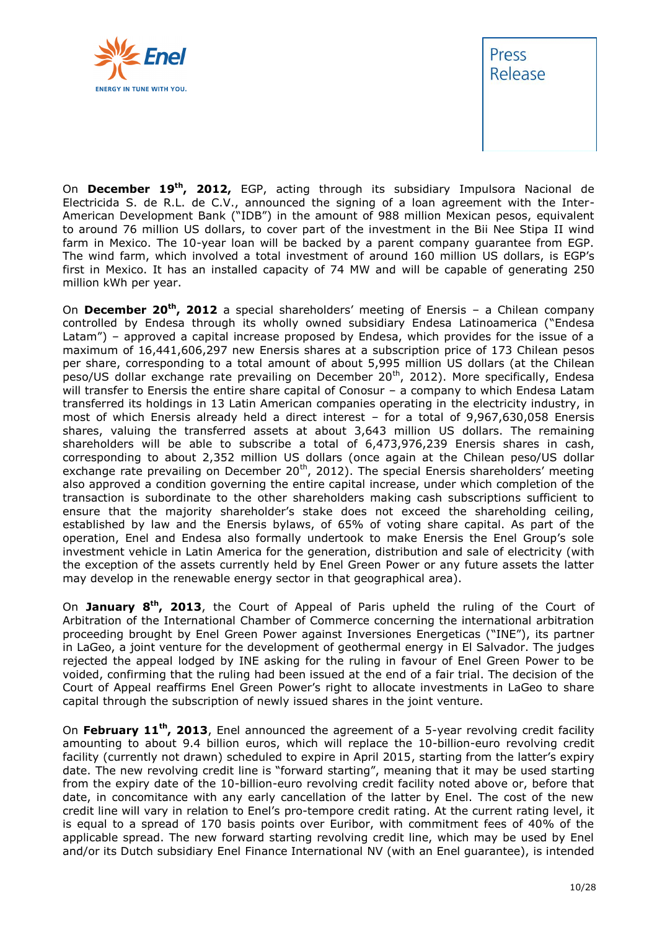



On **December 19th, 2012,** EGP, acting through its subsidiary Impulsora Nacional de Electricida S. de R.L. de C.V., announced the signing of a loan agreement with the Inter-American Development Bank ("IDB") in the amount of 988 million Mexican pesos, equivalent to around 76 million US dollars, to cover part of the investment in the Bii Nee Stipa II wind farm in Mexico. The 10-year loan will be backed by a parent company guarantee from EGP. The wind farm, which involved a total investment of around 160 million US dollars, is EGP's first in Mexico. It has an installed capacity of 74 MW and will be capable of generating 250 million kWh per year.

On **December 20th, 2012** a special shareholders' meeting of Enersis – a Chilean company controlled by Endesa through its wholly owned subsidiary Endesa Latinoamerica ("Endesa Latam") – approved a capital increase proposed by Endesa, which provides for the issue of a maximum of 16,441,606,297 new Enersis shares at a subscription price of 173 Chilean pesos per share, corresponding to a total amount of about 5,995 million US dollars (at the Chilean peso/US dollar exchange rate prevailing on December 20<sup>th</sup>, 2012). More specifically, Endesa will transfer to Enersis the entire share capital of Conosur - a company to which Endesa Latam transferred its holdings in 13 Latin American companies operating in the electricity industry, in most of which Enersis already held a direct interest – for a total of 9,967,630,058 Enersis shares, valuing the transferred assets at about 3,643 million US dollars. The remaining shareholders will be able to subscribe a total of 6,473,976,239 Enersis shares in cash, corresponding to about 2,352 million US dollars (once again at the Chilean peso/US dollar exchange rate prevailing on December 20<sup>th</sup>, 2012). The special Enersis shareholders' meeting also approved a condition governing the entire capital increase, under which completion of the transaction is subordinate to the other shareholders making cash subscriptions sufficient to ensure that the majority shareholder's stake does not exceed the shareholding ceiling, established by law and the Enersis bylaws, of 65% of voting share capital. As part of the operation, Enel and Endesa also formally undertook to make Enersis the Enel Group's sole investment vehicle in Latin America for the generation, distribution and sale of electricity (with the exception of the assets currently held by Enel Green Power or any future assets the latter may develop in the renewable energy sector in that geographical area).

On **January 8th, 2013**, the Court of Appeal of Paris upheld the ruling of the Court of Arbitration of the International Chamber of Commerce concerning the international arbitration proceeding brought by Enel Green Power against Inversiones Energeticas ("INE"), its partner in LaGeo, a joint venture for the development of geothermal energy in El Salvador. The judges rejected the appeal lodged by INE asking for the ruling in favour of Enel Green Power to be voided, confirming that the ruling had been issued at the end of a fair trial. The decision of the Court of Appeal reaffirms Enel Green Power's right to allocate investments in LaGeo to share capital through the subscription of newly issued shares in the joint venture.

On **February 11th, 2013**, Enel announced the agreement of a 5-year revolving credit facility amounting to about 9.4 billion euros, which will replace the 10-billion-euro revolving credit facility (currently not drawn) scheduled to expire in April 2015, starting from the latter's expiry date. The new revolving credit line is "forward starting", meaning that it may be used starting from the expiry date of the 10-billion-euro revolving credit facility noted above or, before that date, in concomitance with any early cancellation of the latter by Enel. The cost of the new credit line will vary in relation to Enel's pro-tempore credit rating. At the current rating level, it is equal to a spread of 170 basis points over Euribor, with commitment fees of 40% of the applicable spread. The new forward starting revolving credit line, which may be used by Enel and/or its Dutch subsidiary Enel Finance International NV (with an Enel guarantee), is intended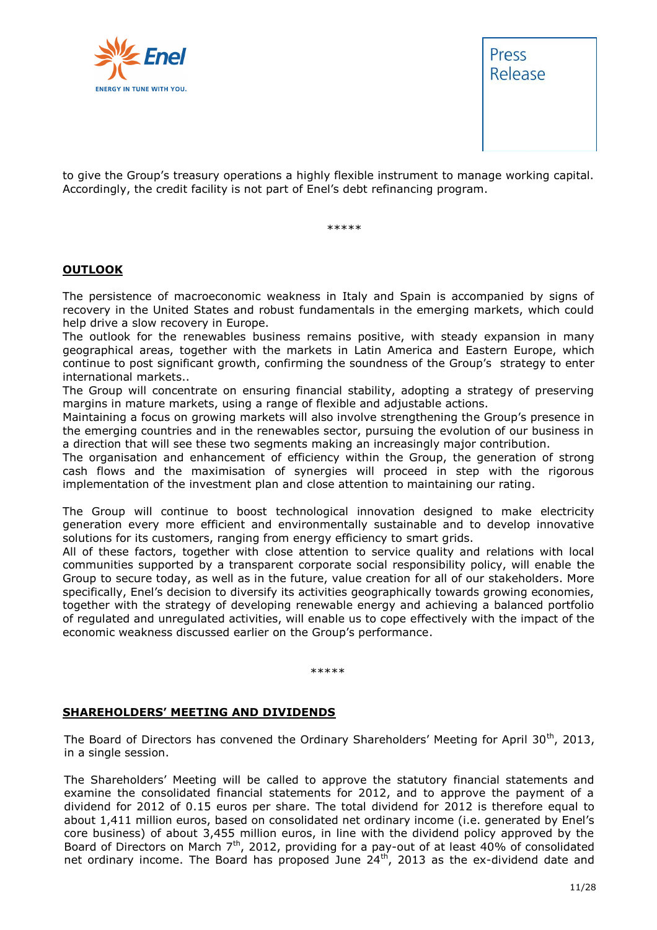



to give the Group's treasury operations a highly flexible instrument to manage working capital. Accordingly, the credit facility is not part of Enel's debt refinancing program.

\*\*\*\*\*

#### **OUTLOOK**

The persistence of macroeconomic weakness in Italy and Spain is accompanied by signs of recovery in the United States and robust fundamentals in the emerging markets, which could help drive a slow recovery in Europe.

The outlook for the renewables business remains positive, with steady expansion in many geographical areas, together with the markets in Latin America and Eastern Europe, which continue to post significant growth, confirming the soundness of the Group's strategy to enter international markets..

The Group will concentrate on ensuring financial stability, adopting a strategy of preserving margins in mature markets, using a range of flexible and adjustable actions.

Maintaining a focus on growing markets will also involve strengthening the Group's presence in the emerging countries and in the renewables sector, pursuing the evolution of our business in a direction that will see these two segments making an increasingly major contribution.

The organisation and enhancement of efficiency within the Group, the generation of strong cash flows and the maximisation of synergies will proceed in step with the rigorous implementation of the investment plan and close attention to maintaining our rating.

The Group will continue to boost technological innovation designed to make electricity generation every more efficient and environmentally sustainable and to develop innovative solutions for its customers, ranging from energy efficiency to smart grids.

All of these factors, together with close attention to service quality and relations with local communities supported by a transparent corporate social responsibility policy, will enable the Group to secure today, as well as in the future, value creation for all of our stakeholders. More specifically, Enel's decision to diversify its activities geographically towards growing economies, together with the strategy of developing renewable energy and achieving a balanced portfolio of regulated and unregulated activities, will enable us to cope effectively with the impact of the economic weakness discussed earlier on the Group's performance.

\*\*\*\*\*

#### **SHAREHOLDERS' MEETING AND DIVIDENDS**

The Board of Directors has convened the Ordinary Shareholders' Meeting for April 30<sup>th</sup>, 2013, in a single session.

The Shareholders' Meeting will be called to approve the statutory financial statements and examine the consolidated financial statements for 2012, and to approve the payment of a dividend for 2012 of 0.15 euros per share. The total dividend for 2012 is therefore equal to about 1,411 million euros, based on consolidated net ordinary income (i.e. generated by Enel's core business) of about 3,455 million euros, in line with the dividend policy approved by the Board of Directors on March 7<sup>th</sup>, 2012, providing for a pay-out of at least 40% of consolidated net ordinary income. The Board has proposed June  $24<sup>th</sup>$ , 2013 as the ex-dividend date and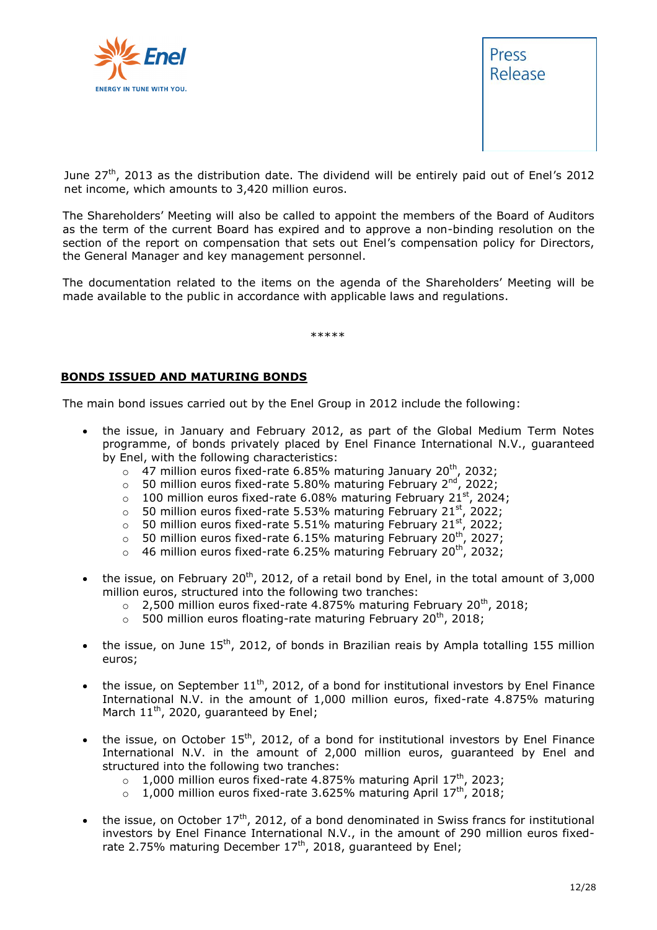



June  $27<sup>th</sup>$ , 2013 as the distribution date. The dividend will be entirely paid out of Enel's 2012 net income, which amounts to 3,420 million euros.

The Shareholders' Meeting will also be called to appoint the members of the Board of Auditors as the term of the current Board has expired and to approve a non-binding resolution on the section of the report on compensation that sets out Enel's compensation policy for Directors, the General Manager and key management personnel.

The documentation related to the items on the agenda of the Shareholders' Meeting will be made available to the public in accordance with applicable laws and regulations.

\*\*\*\*\*

#### **BONDS ISSUED AND MATURING BONDS**

The main bond issues carried out by the Enel Group in 2012 include the following:

- the issue, in January and February 2012, as part of the Global Medium Term Notes programme, of bonds privately placed by Enel Finance International N.V., guaranteed by Enel, with the following characteristics:
	- $\circ$  47 million euros fixed-rate 6.85% maturing January 20<sup>th</sup>, 2032;
	- $\circ$  50 million euros fixed-rate 5.80% maturing February 2<sup>nd</sup>, 2022;
	- $\circ$  100 million euros fixed-rate 6.08% maturing February 21st, 2024;
	- $\circ$  50 million euros fixed-rate 5.53% maturing February 21st, 2022;
	- $\circ$  50 million euros fixed-rate 5.51% maturing February 21st, 2022;
	- $\circ$  50 million euros fixed-rate 6.15% maturing February 20<sup>th</sup>, 2027;
	- $\circ$  46 million euros fixed-rate 6.25% maturing February 20<sup>th</sup>, 2032;
- the issue, on February 20<sup>th</sup>, 2012, of a retail bond by Enel, in the total amount of 3,000 million euros, structured into the following two tranches:
	- $\circ$  2,500 million euros fixed-rate 4.875% maturing February 20<sup>th</sup>, 2018;
	- $\circ$  500 million euros floating-rate maturing February 20<sup>th</sup>, 2018;
- the issue, on June  $15^{th}$ , 2012, of bonds in Brazilian reais by Ampla totalling 155 million euros;
- the issue, on September  $11<sup>th</sup>$ , 2012, of a bond for institutional investors by Enel Finance International N.V. in the amount of 1,000 million euros, fixed-rate 4.875% maturing March  $11^{th}$ , 2020, guaranteed by Enel;
- the issue, on October 15<sup>th</sup>, 2012, of a bond for institutional investors by Enel Finance International N.V. in the amount of 2,000 million euros, guaranteed by Enel and structured into the following two tranches:
	- $\circ$  1,000 million euros fixed-rate 4.875% maturing April 17<sup>th</sup>, 2023;
	- $\circ$  1,000 million euros fixed-rate 3.625% maturing April 17<sup>th</sup>, 2018;
- the issue, on October  $17<sup>th</sup>$ , 2012, of a bond denominated in Swiss francs for institutional investors by Enel Finance International N.V., in the amount of 290 million euros fixedrate 2.75% maturing December  $17<sup>th</sup>$ , 2018, guaranteed by Enel;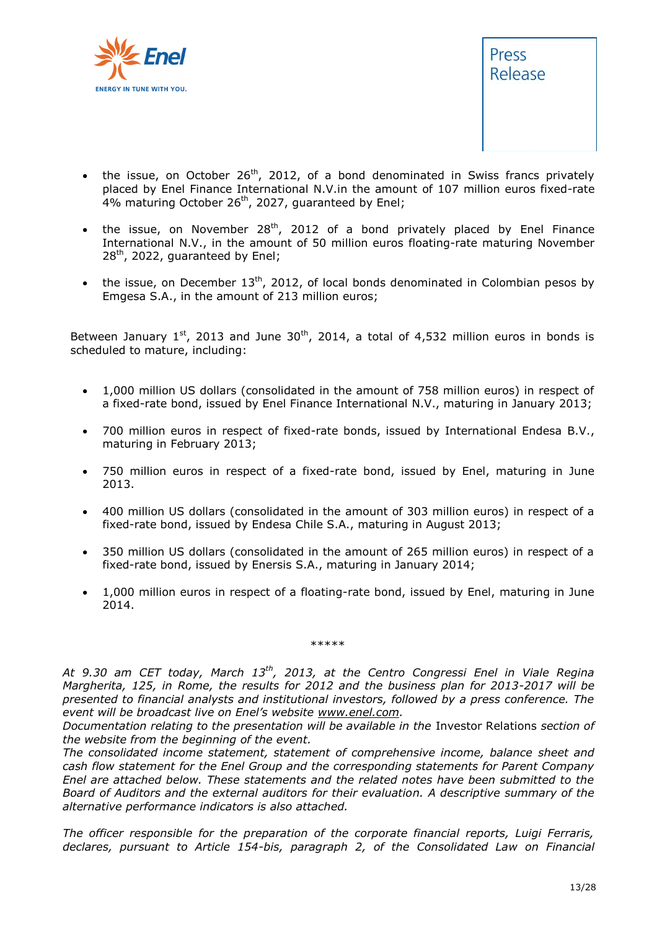



- the issue, on October  $26<sup>th</sup>$ , 2012, of a bond denominated in Swiss francs privately placed by Enel Finance International N.V.in the amount of 107 million euros fixed-rate 4% maturing October 26<sup>th</sup>, 2027, guaranteed by Enel;
- the issue, on November  $28<sup>th</sup>$ , 2012 of a bond privately placed by Enel Finance International N.V., in the amount of 50 million euros floating-rate maturing November  $28<sup>th</sup>$ , 2022, guaranteed by Enel;
- the issue, on December  $13<sup>th</sup>$ , 2012, of local bonds denominated in Colombian pesos by Emgesa S.A., in the amount of 213 million euros;

Between January  $1^{st}$ , 2013 and June 30<sup>th</sup>, 2014, a total of 4,532 million euros in bonds is scheduled to mature, including:

- 1,000 million US dollars (consolidated in the amount of 758 million euros) in respect of a fixed-rate bond, issued by Enel Finance International N.V., maturing in January 2013;
- 700 million euros in respect of fixed-rate bonds, issued by International Endesa B.V., maturing in February 2013;
- 750 million euros in respect of a fixed-rate bond, issued by Enel, maturing in June 2013.
- 400 million US dollars (consolidated in the amount of 303 million euros) in respect of a fixed-rate bond, issued by Endesa Chile S.A., maturing in August 2013;
- 350 million US dollars (consolidated in the amount of 265 million euros) in respect of a fixed-rate bond, issued by Enersis S.A., maturing in January 2014;
- 1,000 million euros in respect of a floating-rate bond, issued by Enel, maturing in June 2014.

\*\*\*\*\*

*At 9.30 am CET today, March 13th, 2013, at the Centro Congressi Enel in Viale Regina Margherita, 125, in Rome, the results for 2012 and the business plan for 2013-2017 will be presented to financial analysts and institutional investors, followed by a press conference. The event will be broadcast live on Enel's website [www.enel.com.](http://www.enel.com/)* 

*Documentation relating to the presentation will be available in the* Investor Relations *section of the website from the beginning of the event.*

*The consolidated income statement, statement of comprehensive income, balance sheet and cash flow statement for the Enel Group and the corresponding statements for Parent Company Enel are attached below. These statements and the related notes have been submitted to the Board of Auditors and the external auditors for their evaluation. A descriptive summary of the alternative performance indicators is also attached.*

*The officer responsible for the preparation of the corporate financial reports, Luigi Ferraris, declares, pursuant to Article 154-bis, paragraph 2, of the Consolidated Law on Financial*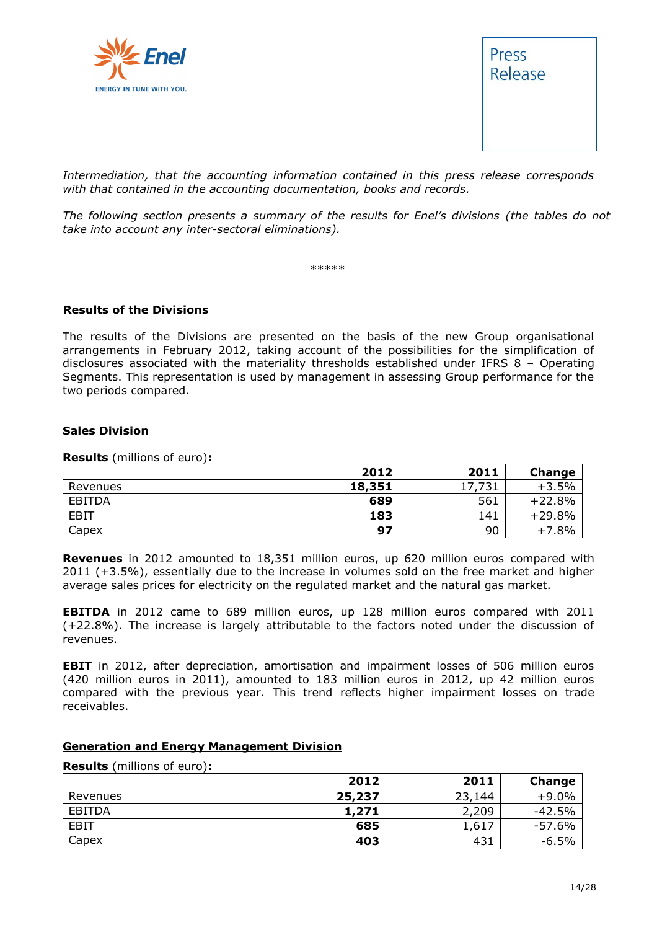



*Intermediation, that the accounting information contained in this press release corresponds with that contained in the accounting documentation, books and records.*

*The following section presents a summary of the results for Enel's divisions (the tables do not take into account any inter-sectoral eliminations).*

\*\*\*\*\*

#### **Results of the Divisions**

The results of the Divisions are presented on the basis of the new Group organisational arrangements in February 2012, taking account of the possibilities for the simplification of disclosures associated with the materiality thresholds established under IFRS 8 – Operating Segments. This representation is used by management in assessing Group performance for the two periods compared.

#### **Sales Division**

**Results** (millions of euro)**:**

|             | 2012   | 2011   | Change   |
|-------------|--------|--------|----------|
| Revenues    | 18,351 | 17,731 | $+3.5%$  |
| EBITDA      | 689    | 561    | $+22.8%$ |
| <b>EBIT</b> | 183    | 141    | $+29.8%$ |
| Capex       | 97     | 90     | $+7.8%$  |

**Revenues** in 2012 amounted to 18,351 million euros, up 620 million euros compared with 2011 (+3.5%), essentially due to the increase in volumes sold on the free market and higher average sales prices for electricity on the regulated market and the natural gas market.

**EBITDA** in 2012 came to 689 million euros, up 128 million euros compared with 2011 (+22.8%). The increase is largely attributable to the factors noted under the discussion of revenues.

**EBIT** in 2012, after depreciation, amortisation and impairment losses of 506 million euros (420 million euros in 2011), amounted to 183 million euros in 2012, up 42 million euros compared with the previous year. This trend reflects higher impairment losses on trade receivables.

#### **Generation and Energy Management Division**

#### **Results** (millions of euro)**:**

|             | 2012   | 2011   | Change   |
|-------------|--------|--------|----------|
| Revenues    | 25,237 | 23,144 | $+9.0%$  |
| EBITDA      | 1,271  | 2,209  | $-42.5%$ |
| <b>EBIT</b> | 685    | 1,617  | $-57.6%$ |
| Capex       | 403    | 431    | $-6.5%$  |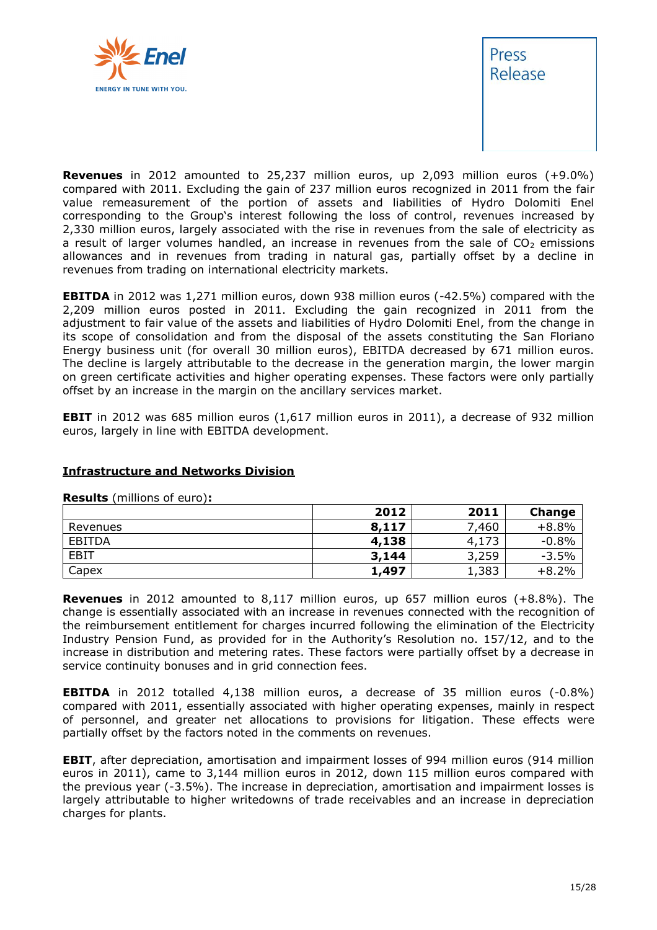



**Revenues** in 2012 amounted to 25,237 million euros, up 2,093 million euros (+9.0%) compared with 2011. Excluding the gain of 237 million euros recognized in 2011 from the fair value remeasurement of the portion of assets and liabilities of Hydro Dolomiti Enel corresponding to the Group's interest following the loss of control, revenues increased by 2,330 million euros, largely associated with the rise in revenues from the sale of electricity as a result of larger volumes handled, an increase in revenues from the sale of  $CO<sub>2</sub>$  emissions allowances and in revenues from trading in natural gas, partially offset by a decline in revenues from trading on international electricity markets.

**EBITDA** in 2012 was 1,271 million euros, down 938 million euros (-42.5%) compared with the 2,209 million euros posted in 2011. Excluding the gain recognized in 2011 from the adjustment to fair value of the assets and liabilities of Hydro Dolomiti Enel, from the change in its scope of consolidation and from the disposal of the assets constituting the San Floriano Energy business unit (for overall 30 million euros), EBITDA decreased by 671 million euros. The decline is largely attributable to the decrease in the generation margin, the lower margin on green certificate activities and higher operating expenses. These factors were only partially offset by an increase in the margin on the ancillary services market.

**EBIT** in 2012 was 685 million euros (1,617 million euros in 2011), a decrease of 932 million euros, largely in line with EBITDA development.

#### **Infrastructure and Networks Division**

|               | 2012  | 2011  | <b>Change</b> |
|---------------|-------|-------|---------------|
| Revenues      | 8,117 | 7,460 | $+8.8%$       |
| <b>EBITDA</b> | 4,138 | 4,173 | $-0.8%$       |
| <b>EBIT</b>   | 3,144 | 3,259 | $-3.5%$       |
| Capex         | 1,497 | 1,383 | $+8.2%$       |

**Results** (millions of euro)**:**

**Revenues** in 2012 amounted to 8,117 million euros, up 657 million euros (+8.8%). The change is essentially associated with an increase in revenues connected with the recognition of the reimbursement entitlement for charges incurred following the elimination of the Electricity Industry Pension Fund, as provided for in the Authority's Resolution no. 157/12, and to the increase in distribution and metering rates. These factors were partially offset by a decrease in service continuity bonuses and in grid connection fees.

**EBITDA** in 2012 totalled 4,138 million euros, a decrease of 35 million euros (-0.8%) compared with 2011, essentially associated with higher operating expenses, mainly in respect of personnel, and greater net allocations to provisions for litigation. These effects were partially offset by the factors noted in the comments on revenues.

**EBIT**, after depreciation, amortisation and impairment losses of 994 million euros (914 million euros in 2011), came to 3,144 million euros in 2012, down 115 million euros compared with the previous year (-3.5%). The increase in depreciation, amortisation and impairment losses is largely attributable to higher writedowns of trade receivables and an increase in depreciation charges for plants.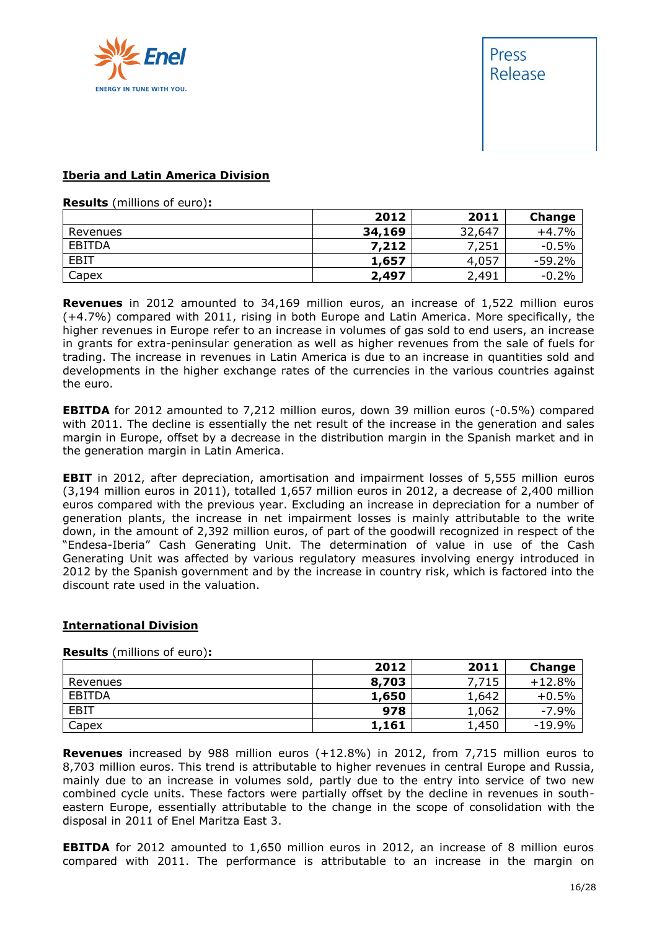



#### **Iberia and Latin America Division**

**Results** (millions of euro)**:**

|               | 2012   | 2011   | Change   |
|---------------|--------|--------|----------|
| Revenues      | 34,169 | 32,647 | $+4.7%$  |
| <b>EBITDA</b> | 7,212  | 7,251  | $-0.5%$  |
| <b>EBIT</b>   | 1,657  | 4,057  | $-59.2%$ |
| Capex         | 2,497  | 2,491  | $-0.2%$  |

**Revenues** in 2012 amounted to 34,169 million euros, an increase of 1,522 million euros (+4.7%) compared with 2011, rising in both Europe and Latin America. More specifically, the higher revenues in Europe refer to an increase in volumes of gas sold to end users, an increase in grants for extra-peninsular generation as well as higher revenues from the sale of fuels for trading. The increase in revenues in Latin America is due to an increase in quantities sold and developments in the higher exchange rates of the currencies in the various countries against the euro.

**EBITDA** for 2012 amounted to 7,212 million euros, down 39 million euros (-0.5%) compared with 2011. The decline is essentially the net result of the increase in the generation and sales margin in Europe, offset by a decrease in the distribution margin in the Spanish market and in the generation margin in Latin America.

**EBIT** in 2012, after depreciation, amortisation and impairment losses of 5,555 million euros (3,194 million euros in 2011), totalled 1,657 million euros in 2012, a decrease of 2,400 million euros compared with the previous year. Excluding an increase in depreciation for a number of generation plants, the increase in net impairment losses is mainly attributable to the write down, in the amount of 2,392 million euros, of part of the goodwill recognized in respect of the "Endesa-Iberia" Cash Generating Unit. The determination of value in use of the Cash Generating Unit was affected by various regulatory measures involving energy introduced in 2012 by the Spanish government and by the increase in country risk, which is factored into the discount rate used in the valuation.

#### **International Division**

|          | 2012  | 2011  | <b>Change</b> |
|----------|-------|-------|---------------|
| Revenues | 8,703 | ,715  | $+12.8%$      |
| EBITDA   | 1,650 | 1,642 | $+0.5%$       |
| EBIT     | 978   | 1,062 | $-7.9%$       |
| Capex    | 1,161 | 1,450 | $-19.9%$      |

**Results** (millions of euro)**:**

**Revenues** increased by 988 million euros (+12.8%) in 2012, from 7,715 million euros to 8,703 million euros. This trend is attributable to higher revenues in central Europe and Russia, mainly due to an increase in volumes sold, partly due to the entry into service of two new combined cycle units. These factors were partially offset by the decline in revenues in southeastern Europe, essentially attributable to the change in the scope of consolidation with the disposal in 2011 of Enel Maritza East 3.

**EBITDA** for 2012 amounted to 1,650 million euros in 2012, an increase of 8 million euros compared with 2011. The performance is attributable to an increase in the margin on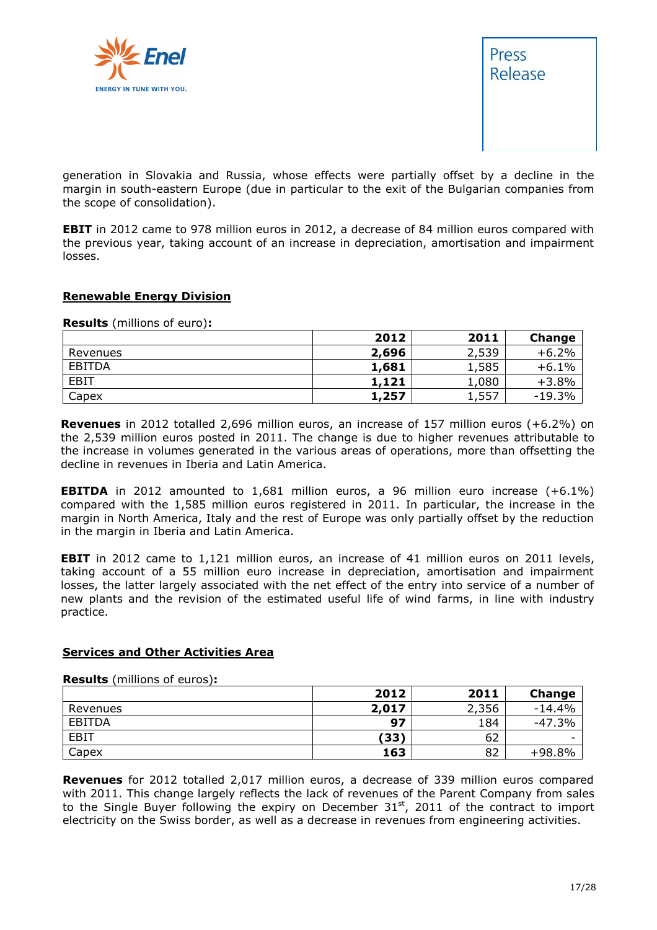



generation in Slovakia and Russia, whose effects were partially offset by a decline in the margin in south-eastern Europe (due in particular to the exit of the Bulgarian companies from the scope of consolidation).

**EBIT** in 2012 came to 978 million euros in 2012, a decrease of 84 million euros compared with the previous year, taking account of an increase in depreciation, amortisation and impairment losses.

#### **Renewable Energy Division**

**Results** (millions of euro)**:**

|               | 2012  | 2011  | Change   |
|---------------|-------|-------|----------|
| Revenues      | 2,696 | 2,539 | $+6.2%$  |
| <b>EBITDA</b> | 1,681 | 1,585 | $+6.1%$  |
| <b>EBIT</b>   | 1,121 | 1,080 | $+3.8%$  |
| Capex         | 1,257 | 1,557 | $-19.3%$ |

**Revenues** in 2012 totalled 2,696 million euros, an increase of 157 million euros (+6.2%) on the 2,539 million euros posted in 2011. The change is due to higher revenues attributable to the increase in volumes generated in the various areas of operations, more than offsetting the decline in revenues in Iberia and Latin America.

**EBITDA** in 2012 amounted to 1,681 million euros, a 96 million euro increase (+6.1%) compared with the 1,585 million euros registered in 2011. In particular, the increase in the margin in North America, Italy and the rest of Europe was only partially offset by the reduction in the margin in Iberia and Latin America.

**EBIT** in 2012 came to 1,121 million euros, an increase of 41 million euros on 2011 levels, taking account of a 55 million euro increase in depreciation, amortisation and impairment losses, the latter largely associated with the net effect of the entry into service of a number of new plants and the revision of the estimated useful life of wind farms, in line with industry practice.

#### **Services and Other Activities Area**

**Results** (millions of euros)**:**

|             | 2012  | 2011  | <b>Change</b> |
|-------------|-------|-------|---------------|
| Revenues    | 2,017 | 2,356 | $-14.4%$      |
| EBITDA      | 97    | 184   | $-47.3%$      |
| <b>EBIT</b> | (33)  | 62    |               |
| Capex       | 163   | 82    | $+98.8%$      |

**Revenues** for 2012 totalled 2,017 million euros, a decrease of 339 million euros compared with 2011. This change largely reflects the lack of revenues of the Parent Company from sales to the Single Buyer following the expiry on December  $31<sup>st</sup>$ , 2011 of the contract to import electricity on the Swiss border, as well as a decrease in revenues from engineering activities.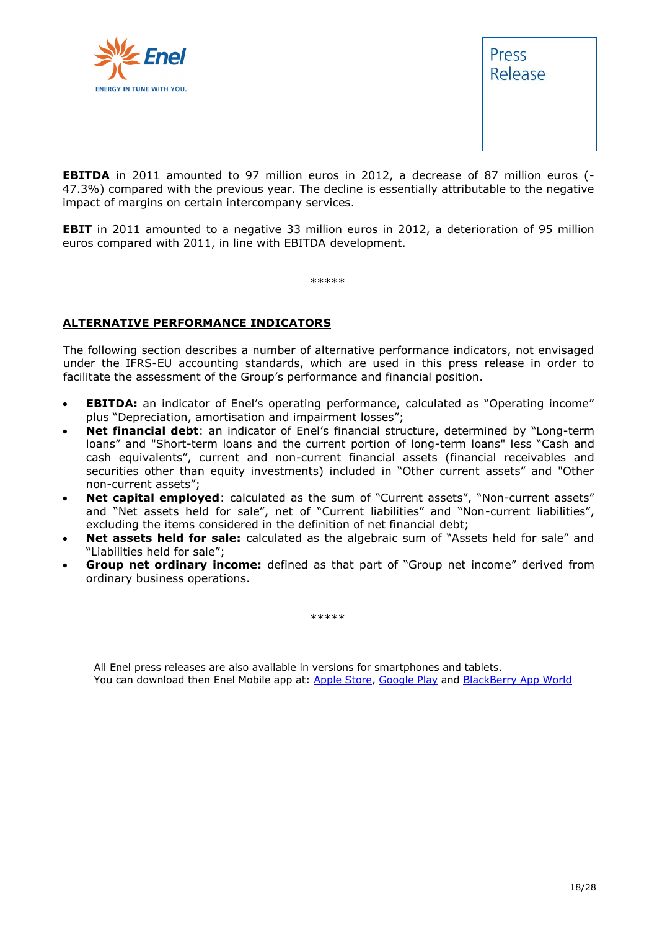



**EBITDA** in 2011 amounted to 97 million euros in 2012, a decrease of 87 million euros (-47.3%) compared with the previous year. The decline is essentially attributable to the negative impact of margins on certain intercompany services.

**EBIT** in 2011 amounted to a negative 33 million euros in 2012, a deterioration of 95 million euros compared with 2011, in line with EBITDA development.

\*\*\*\*\*

#### **ALTERNATIVE PERFORMANCE INDICATORS**

The following section describes a number of alternative performance indicators, not envisaged under the IFRS-EU accounting standards, which are used in this press release in order to facilitate the assessment of the Group's performance and financial position.

- **EBITDA:** an indicator of Enel's operating performance, calculated as "Operating income" plus "Depreciation, amortisation and impairment losses";
- **Net financial debt**: an indicator of Enel's financial structure, determined by "Long-term loans" and "Short-term loans and the current portion of long-term loans" less "Cash and cash equivalents", current and non-current financial assets (financial receivables and securities other than equity investments) included in "Other current assets" and "Other non-current assets";
- **Net capital employed**: calculated as the sum of "Current assets", "Non-current assets" and "Net assets held for sale", net of "Current liabilities" and "Non-current liabilities", excluding the items considered in the definition of net financial debt;
- **Net assets held for sale:** calculated as the algebraic sum of "Assets held for sale" and "Liabilities held for sale";
- **Group net ordinary income:** defined as that part of "Group net income" derived from ordinary business operations.

\*\*\*\*\*

All Enel press releases are also available in versions for smartphones and tablets. You can download then Enel Mobile app at: [Apple Store,](http://itunes.apple.com/us/app/enel-mobile/id375750732?mt=8) [Google Play](https://play.google.com/store/apps/details?id=com.enel.investor) and [BlackBerry App World](https://appworld.blackberry.com/webstore/content/11782)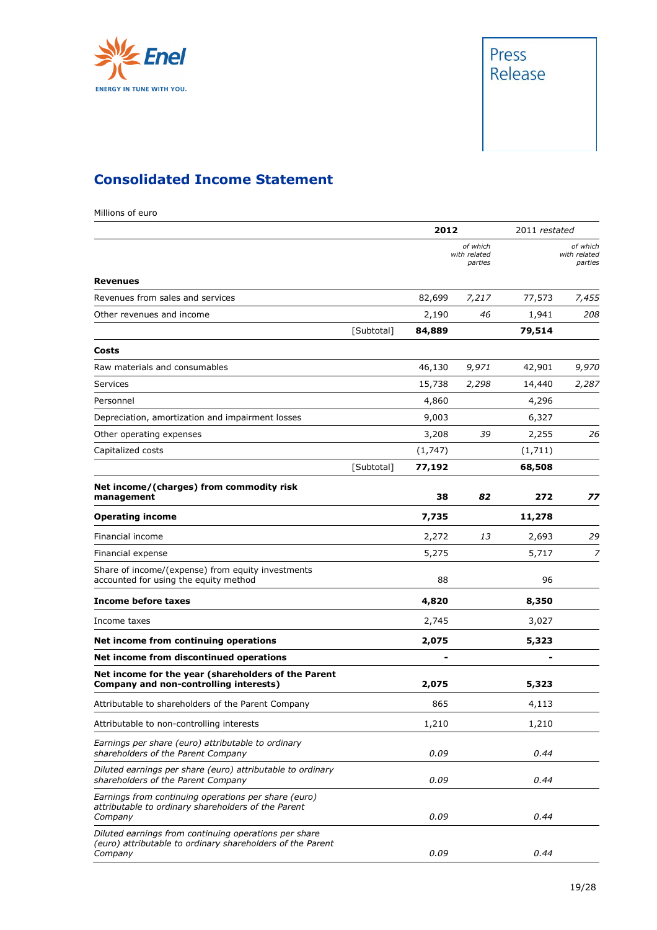



## **Consolidated Income Statement**

Millions of euro

|                                                                                                                                |            | 2012            |                                     | 2011 restated   |                                     |
|--------------------------------------------------------------------------------------------------------------------------------|------------|-----------------|-------------------------------------|-----------------|-------------------------------------|
|                                                                                                                                |            |                 | of which<br>with related<br>parties |                 | of which<br>with related<br>parties |
| <b>Revenues</b>                                                                                                                |            |                 |                                     |                 |                                     |
| Revenues from sales and services                                                                                               |            | 82,699          | 7,217                               | 77,573          | 7,455                               |
| Other revenues and income                                                                                                      | [Subtotal] | 2,190<br>84,889 | 46                                  | 1,941<br>79,514 | 208                                 |
| Costs                                                                                                                          |            |                 |                                     |                 |                                     |
| Raw materials and consumables                                                                                                  |            | 46,130          | 9,971                               | 42,901          | 9,970                               |
| Services                                                                                                                       |            | 15,738          | 2,298                               | 14,440          | 2,287                               |
| Personnel                                                                                                                      |            | 4,860           |                                     | 4,296           |                                     |
| Depreciation, amortization and impairment losses                                                                               |            | 9,003           |                                     | 6,327           |                                     |
| Other operating expenses                                                                                                       |            | 3,208           | 39                                  | 2,255           | 26                                  |
| Capitalized costs                                                                                                              |            | (1,747)         |                                     | (1,711)         |                                     |
|                                                                                                                                | [Subtotal] | 77,192          |                                     | 68,508          |                                     |
| Net income/(charges) from commodity risk<br>management                                                                         |            | 38              | 82                                  | 272             | 77                                  |
| <b>Operating income</b>                                                                                                        |            | 7,735           |                                     | 11,278          |                                     |
| Financial income                                                                                                               |            | 2,272           | 13                                  | 2,693           | 29                                  |
| Financial expense                                                                                                              |            | 5,275           |                                     | 5,717           | 7                                   |
| Share of income/(expense) from equity investments<br>accounted for using the equity method                                     |            | 88              |                                     | 96              |                                     |
| <b>Income before taxes</b>                                                                                                     |            | 4,820           |                                     | 8,350           |                                     |
| Income taxes                                                                                                                   |            | 2,745           |                                     | 3,027           |                                     |
| Net income from continuing operations                                                                                          |            | 2,075           |                                     | 5,323           |                                     |
| Net income from discontinued operations                                                                                        |            |                 |                                     |                 |                                     |
| Net income for the year (shareholders of the Parent<br>Company and non-controlling interests)                                  |            | 2,075           |                                     | 5,323           |                                     |
| Attributable to shareholders of the Parent Company                                                                             |            | 865             |                                     | 4,113           |                                     |
| Attributable to non-controlling interests                                                                                      |            | 1,210           |                                     | 1,210           |                                     |
| Earnings per share (euro) attributable to ordinary<br>shareholders of the Parent Company                                       |            | 0.09            |                                     | 0.44            |                                     |
| Diluted earnings per share (euro) attributable to ordinary<br>shareholders of the Parent Company                               |            | 0.09            |                                     | 0.44            |                                     |
| Earnings from continuing operations per share (euro)<br>attributable to ordinary shareholders of the Parent<br>Company         |            | 0.09            |                                     | 0.44            |                                     |
| Diluted earnings from continuing operations per share<br>(euro) attributable to ordinary shareholders of the Parent<br>Company |            | 0.09            |                                     | 0.44            |                                     |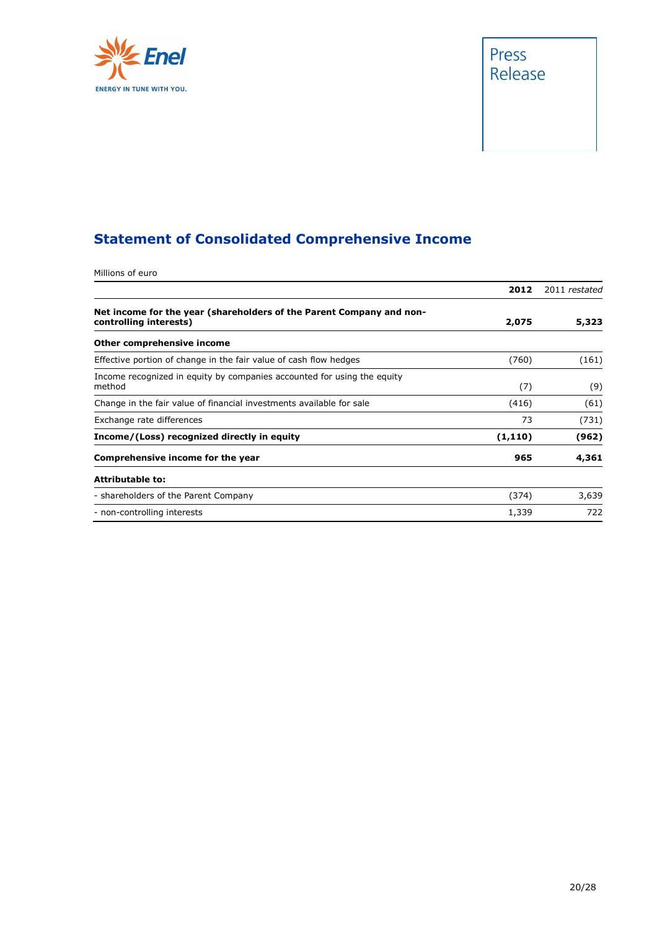

## Press Release

## **Statement of Consolidated Comprehensive Income**

| Millions of euro                                                                               |          |               |
|------------------------------------------------------------------------------------------------|----------|---------------|
|                                                                                                | 2012     | 2011 restated |
| Net income for the year (shareholders of the Parent Company and non-<br>controlling interests) | 2,075    | 5,323         |
| Other comprehensive income                                                                     |          |               |
| Effective portion of change in the fair value of cash flow hedges                              | (760)    | (161)         |
| Income recognized in equity by companies accounted for using the equity<br>method              | (7)      | (9)           |
| Change in the fair value of financial investments available for sale                           | (416)    | (61)          |
| Exchange rate differences                                                                      | 73       | (731)         |
| Income/(Loss) recognized directly in equity                                                    | (1, 110) | (962)         |
| Comprehensive income for the year                                                              | 965      | 4,361         |
| <b>Attributable to:</b>                                                                        |          |               |
| - shareholders of the Parent Company                                                           | (374)    | 3,639         |
| - non-controlling interests                                                                    | 1,339    | 722           |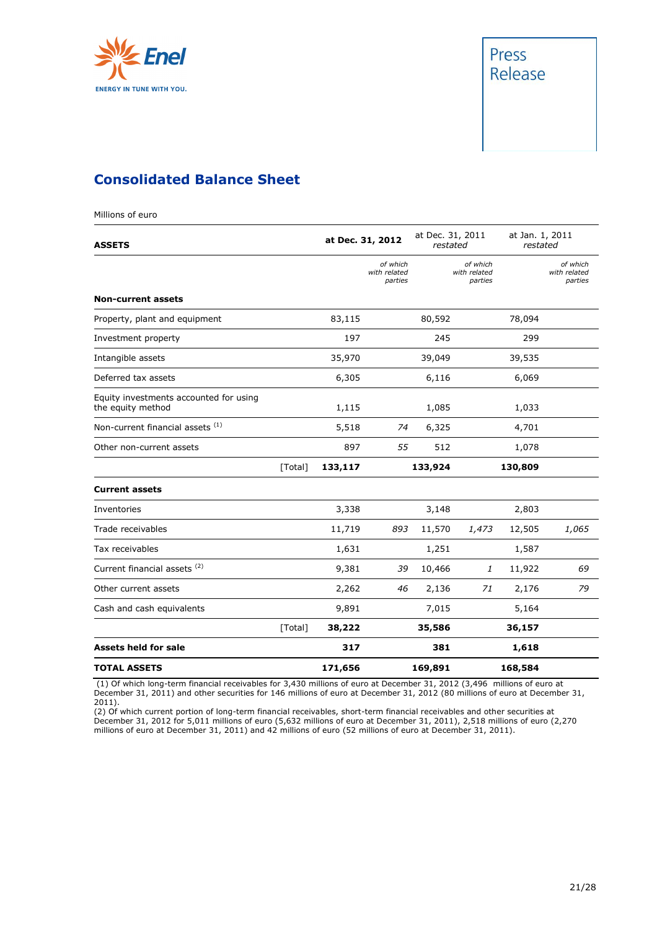

Millions of euro



### **Consolidated Balance Sheet**

| <b>ASSETS</b>                                               |         |         | at Dec. 31, 2012                    | at Dec. 31, 2011<br>restated |                                     | at Jan. 1, 2011<br>restated |                                     |
|-------------------------------------------------------------|---------|---------|-------------------------------------|------------------------------|-------------------------------------|-----------------------------|-------------------------------------|
|                                                             |         |         | of which<br>with related<br>parties |                              | of which<br>with related<br>parties |                             | of which<br>with related<br>parties |
| <b>Non-current assets</b>                                   |         |         |                                     |                              |                                     |                             |                                     |
| Property, plant and equipment                               |         | 83,115  |                                     | 80,592                       |                                     | 78,094                      |                                     |
| Investment property                                         |         | 197     |                                     | 245                          |                                     | 299                         |                                     |
| Intangible assets                                           |         | 35,970  |                                     | 39,049                       |                                     | 39,535                      |                                     |
| Deferred tax assets                                         |         | 6,305   |                                     | 6,116                        |                                     | 6,069                       |                                     |
| Equity investments accounted for using<br>the equity method |         | 1,115   |                                     | 1,085                        |                                     | 1,033                       |                                     |
| Non-current financial assets (1)                            |         | 5,518   | 74                                  | 6,325                        |                                     | 4,701                       |                                     |
| Other non-current assets                                    |         | 897     | 55                                  | 512                          |                                     | 1,078                       |                                     |
|                                                             | [Total] | 133,117 |                                     | 133,924                      |                                     | 130,809                     |                                     |
| <b>Current assets</b>                                       |         |         |                                     |                              |                                     |                             |                                     |
| Inventories                                                 |         | 3,338   |                                     | 3,148                        |                                     | 2,803                       |                                     |
| Trade receivables                                           |         | 11,719  | 893                                 | 11,570                       | 1,473                               | 12,505                      | 1,065                               |
| Tax receivables                                             |         | 1,631   |                                     | 1,251                        |                                     | 1,587                       |                                     |
| Current financial assets <sup>(2)</sup>                     |         | 9,381   | 39                                  | 10,466                       | 1                                   | 11,922                      | 69                                  |
| Other current assets                                        |         | 2,262   | 46                                  | 2,136                        | 71                                  | 2,176                       | 79                                  |
| Cash and cash equivalents                                   |         | 9,891   |                                     | 7,015                        |                                     | 5,164                       |                                     |
|                                                             | [Total] | 38,222  |                                     | 35,586                       |                                     | 36,157                      |                                     |
| <b>Assets held for sale</b>                                 |         | 317     |                                     | 381                          |                                     | 1,618                       |                                     |
| <b>TOTAL ASSETS</b>                                         |         | 171,656 |                                     | 169,891                      |                                     | 168,584                     |                                     |

(1) Of which long-term financial receivables for 3,430 millions of euro at December 31, 2012 (3,496 millions of euro at December 31, 2011) and other securities for 146 millions of euro at December 31, 2012 (80 millions of euro at December 31, 2011).

(2) Of which current portion of long-term financial receivables, short-term financial receivables and other securities at December 31, 2012 for 5,011 millions of euro (5,632 millions of euro at December 31, 2011), 2,518 millions of euro (2,270 millions of euro at December 31, 2011) and 42 millions of euro (52 millions of euro at December 31, 2011).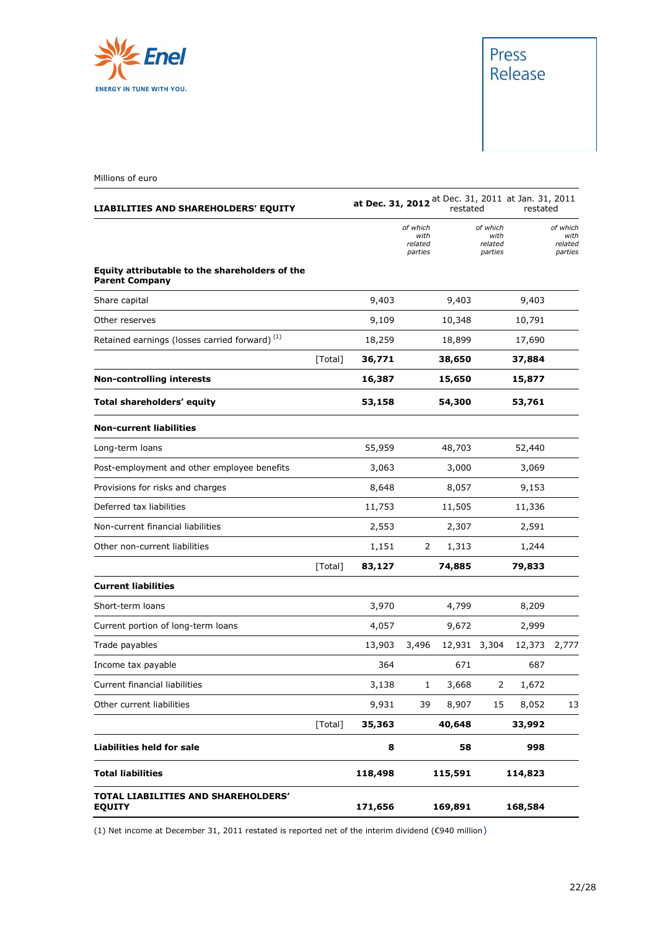

Millions of euro

| LIABILITIES AND SHAREHOLDERS' EQUITY                                    |         | at Dec. 31, 2012 at Dec. 31, 2011 at Jan. 31, 2011 |                                        | restated |                                        | restated |                                        |
|-------------------------------------------------------------------------|---------|----------------------------------------------------|----------------------------------------|----------|----------------------------------------|----------|----------------------------------------|
|                                                                         |         |                                                    | of which<br>with<br>related<br>parties |          | of which<br>with<br>related<br>parties |          | of which<br>with<br>related<br>parties |
| Equity attributable to the shareholders of the<br><b>Parent Company</b> |         |                                                    |                                        |          |                                        |          |                                        |
| Share capital                                                           |         | 9,403                                              |                                        | 9,403    |                                        | 9,403    |                                        |
| Other reserves                                                          |         | 9,109                                              |                                        | 10,348   |                                        | 10,791   |                                        |
| Retained earnings (losses carried forward) <sup>(1)</sup>               |         | 18,259                                             |                                        | 18,899   |                                        | 17,690   |                                        |
|                                                                         | [Total] | 36,771                                             |                                        | 38,650   |                                        | 37,884   |                                        |
| <b>Non-controlling interests</b>                                        |         | 16,387                                             |                                        | 15,650   |                                        | 15,877   |                                        |
| Total shareholders' equity                                              |         | 53,158                                             |                                        | 54,300   |                                        | 53,761   |                                        |
| <b>Non-current liabilities</b>                                          |         |                                                    |                                        |          |                                        |          |                                        |
| Long-term loans                                                         |         | 55,959                                             |                                        | 48,703   |                                        | 52,440   |                                        |
| Post-employment and other employee benefits                             |         | 3,063                                              |                                        | 3,000    |                                        | 3,069    |                                        |
| Provisions for risks and charges                                        |         | 8,648                                              |                                        | 8,057    |                                        | 9,153    |                                        |
| Deferred tax liabilities                                                |         | 11,753                                             |                                        | 11,505   |                                        | 11,336   |                                        |
| Non-current financial liabilities                                       |         | 2,553                                              |                                        | 2,307    |                                        | 2,591    |                                        |
| Other non-current liabilities                                           |         | 1,151                                              | 2                                      | 1,313    |                                        | 1,244    |                                        |
|                                                                         | [Total] | 83,127                                             |                                        | 74,885   |                                        | 79,833   |                                        |
| <b>Current liabilities</b>                                              |         |                                                    |                                        |          |                                        |          |                                        |
| Short-term loans                                                        |         | 3,970                                              |                                        | 4,799    |                                        | 8,209    |                                        |
| Current portion of long-term loans                                      |         | 4,057                                              |                                        | 9,672    |                                        | 2,999    |                                        |
| Trade payables                                                          |         | 13,903                                             | 3,496                                  |          | 12,931 3,304                           | 12,373   | 2,777                                  |
| Income tax payable                                                      |         | 364                                                |                                        | 671      |                                        | 687      |                                        |
| Current financial liabilities                                           |         | 3,138                                              | 1                                      | 3,668    | 2                                      | 1,672    |                                        |
| Other current liabilities                                               |         | 9,931                                              | 39                                     | 8,907    | 15                                     | 8,052    | 13                                     |
|                                                                         | [Total] | 35,363                                             |                                        | 40,648   |                                        | 33,992   |                                        |
| <b>Liabilities held for sale</b>                                        |         | 8                                                  |                                        | 58       |                                        | 998      |                                        |
| <b>Total liabilities</b>                                                |         | 118,498                                            |                                        | 115,591  |                                        | 114,823  |                                        |
| TOTAL LIABILITIES AND SHAREHOLDERS'<br><b>EQUITY</b>                    |         | 171,656                                            |                                        | 169,891  |                                        | 168,584  |                                        |

(1) Net income at December 31, 2011 restated is reported net of the interim dividend (€940 million)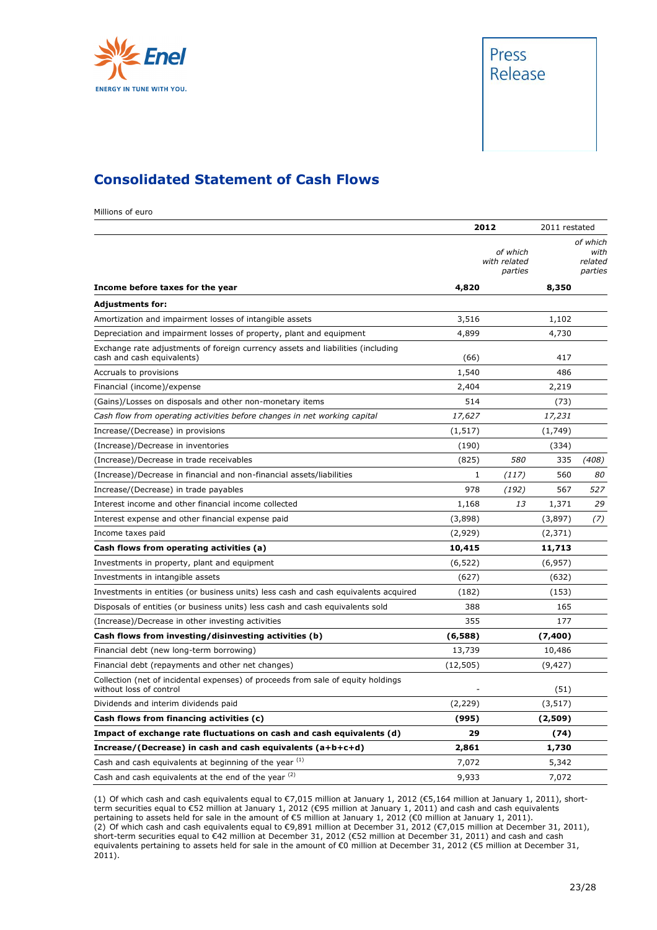



#### **Consolidated Statement of Cash Flows**

Millions of euro

|                                                                                                               | 2012      |                                     | 2011 restated |                                        |
|---------------------------------------------------------------------------------------------------------------|-----------|-------------------------------------|---------------|----------------------------------------|
|                                                                                                               |           | of which<br>with related<br>parties |               | of which<br>with<br>related<br>parties |
| Income before taxes for the year                                                                              | 4,820     |                                     | 8,350         |                                        |
| <b>Adjustments for:</b>                                                                                       |           |                                     |               |                                        |
| Amortization and impairment losses of intangible assets                                                       | 3,516     |                                     | 1,102         |                                        |
| Depreciation and impairment losses of property, plant and equipment                                           | 4,899     |                                     | 4,730         |                                        |
| Exchange rate adjustments of foreign currency assets and liabilities (including<br>cash and cash equivalents) | (66)      |                                     | 417           |                                        |
| Accruals to provisions                                                                                        | 1,540     |                                     | 486           |                                        |
| Financial (income)/expense                                                                                    | 2,404     |                                     | 2,219         |                                        |
| (Gains)/Losses on disposals and other non-monetary items                                                      | 514       |                                     | (73)          |                                        |
| Cash flow from operating activities before changes in net working capital                                     | 17,627    |                                     | 17,231        |                                        |
| Increase/(Decrease) in provisions                                                                             | (1, 517)  |                                     | (1,749)       |                                        |
| (Increase)/Decrease in inventories                                                                            | (190)     |                                     | (334)         |                                        |
| (Increase)/Decrease in trade receivables                                                                      | (825)     | 580                                 | 335           | (408)                                  |
| (Increase)/Decrease in financial and non-financial assets/liabilities                                         | 1         | (117)                               | 560           | 80                                     |
| Increase/(Decrease) in trade payables                                                                         | 978       | (192)                               | 567           | 527                                    |
| Interest income and other financial income collected                                                          | 1,168     | 13                                  | 1,371         | 29                                     |
| Interest expense and other financial expense paid                                                             | (3,898)   |                                     | (3,897)       | (7)                                    |
| Income taxes paid                                                                                             | (2,929)   |                                     | (2, 371)      |                                        |
| Cash flows from operating activities (a)                                                                      | 10,415    |                                     | 11,713        |                                        |
| Investments in property, plant and equipment                                                                  | (6, 522)  |                                     | (6,957)       |                                        |
| Investments in intangible assets                                                                              | (627)     |                                     | (632)         |                                        |
| Investments in entities (or business units) less cash and cash equivalents acquired                           | (182)     |                                     | (153)         |                                        |
| Disposals of entities (or business units) less cash and cash equivalents sold                                 | 388       |                                     | 165           |                                        |
| (Increase)/Decrease in other investing activities                                                             | 355       |                                     | 177           |                                        |
| Cash flows from investing/disinvesting activities (b)                                                         | (6,588)   |                                     | (7,400)       |                                        |
| Financial debt (new long-term borrowing)                                                                      | 13,739    |                                     | 10,486        |                                        |
| Financial debt (repayments and other net changes)                                                             | (12, 505) |                                     | (9, 427)      |                                        |
| Collection (net of incidental expenses) of proceeds from sale of equity holdings<br>without loss of control   |           |                                     | (51)          |                                        |
| Dividends and interim dividends paid                                                                          | (2, 229)  |                                     | (3, 517)      |                                        |
| Cash flows from financing activities (c)                                                                      | (995)     |                                     | (2,509)       |                                        |
| Impact of exchange rate fluctuations on cash and cash equivalents (d)                                         | 29        |                                     | (74)          |                                        |
| Increase/(Decrease) in cash and cash equivalents $(a+b+c+d)$                                                  | 2,861     |                                     | 1,730         |                                        |
| Cash and cash equivalents at beginning of the year (1)                                                        | 7,072     |                                     | 5,342         |                                        |
| Cash and cash equivalents at the end of the year (2)                                                          | 9,933     |                                     | 7,072         |                                        |

(1) Of which cash and cash equivalents equal to €7,015 million at January 1, 2012 (€5,164 million at January 1, 2011), shortterm securities equal to €52 million at January 1, 2012 (€95 million at January 1, 2011) and cash and cash equivalents pertaining to assets held for sale in the amount of €5 million at January 1, 2012 (€0 million at January 1, 2011). (2) Of which cash and cash equivalents equal to €9,891 million at December 31, 2012 (€7,015 million at December 31, 2011),

short-term securities equal to €42 million at December 31, 2012 (€52 million at December 31, 2011) and cash and cash equivalents pertaining to assets held for sale in the amount of €0 million at December 31, 2012 (€5 million at December 31, 2011).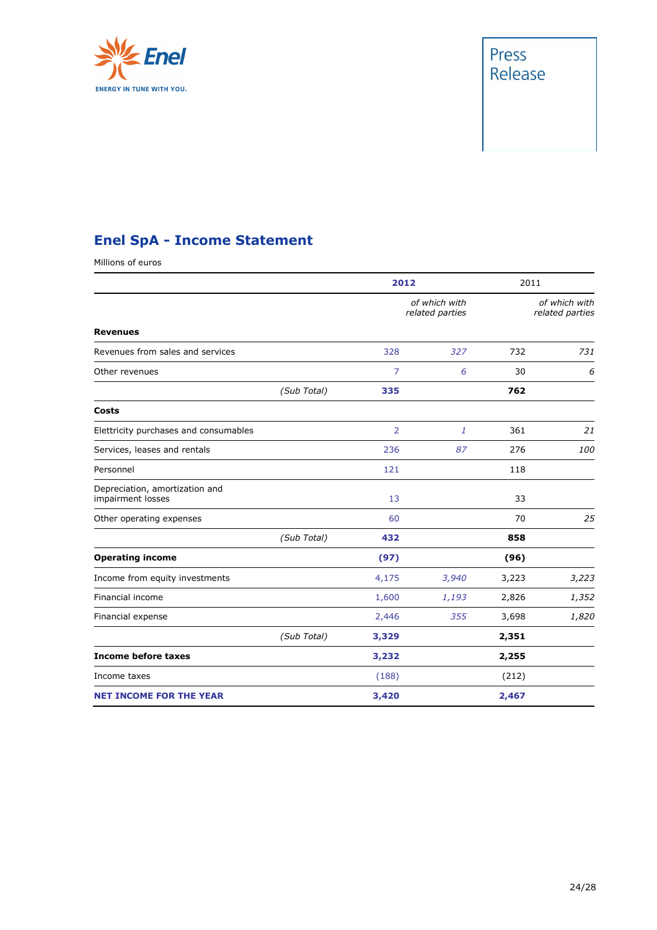

## Press Release

## **Enel SpA - Income Statement**

Millions of euros

|                                                     |             | 2012           |                                  | 2011  |                                  |
|-----------------------------------------------------|-------------|----------------|----------------------------------|-------|----------------------------------|
|                                                     |             |                | of which with<br>related parties |       | of which with<br>related parties |
| <b>Revenues</b>                                     |             |                |                                  |       |                                  |
| Revenues from sales and services                    |             | 328            | 327                              | 732   | 731                              |
| Other revenues                                      |             | 7              | 6                                | 30    | 6                                |
|                                                     | (Sub Total) | 335            |                                  | 762   |                                  |
| Costs                                               |             |                |                                  |       |                                  |
| Elettricity purchases and consumables               |             | $\overline{2}$ | 1                                | 361   | 21                               |
| Services, leases and rentals                        |             | 236            | 87                               | 276   | 100                              |
| Personnel                                           |             | 121            |                                  | 118   |                                  |
| Depreciation, amortization and<br>impairment losses |             | 13             |                                  | 33    |                                  |
| Other operating expenses                            |             | 60             |                                  | 70    | 25                               |
|                                                     | (Sub Total) | 432            |                                  | 858   |                                  |
| <b>Operating income</b>                             |             | (97)           |                                  | (96)  |                                  |
| Income from equity investments                      |             | 4,175          | 3,940                            | 3,223 | 3,223                            |
| Financial income                                    |             | 1,600          | 1,193                            | 2,826 | 1,352                            |
| Financial expense                                   |             | 2,446          | 355                              | 3,698 | 1,820                            |
|                                                     | (Sub Total) | 3,329          |                                  | 2,351 |                                  |
| <b>Income before taxes</b>                          |             | 3,232          |                                  | 2,255 |                                  |
| Income taxes                                        |             | (188)          |                                  | (212) |                                  |
| <b>NET INCOME FOR THE YEAR</b>                      |             | 3,420          |                                  | 2,467 |                                  |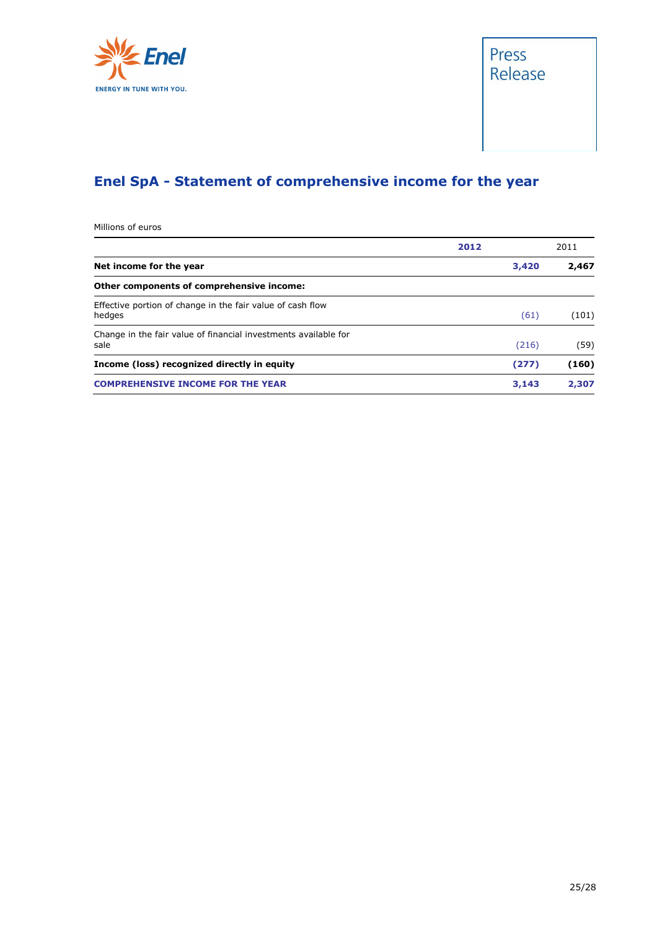



## **Enel SpA - Statement of comprehensive income for the year**

Millions of euros

|                                                                         | 2012 |       | 2011  |
|-------------------------------------------------------------------------|------|-------|-------|
| Net income for the year                                                 |      | 3,420 | 2,467 |
| Other components of comprehensive income:                               |      |       |       |
| Effective portion of change in the fair value of cash flow<br>hedges    |      | (61)  | (101) |
| Change in the fair value of financial investments available for<br>sale |      | (216) | (59)  |
| Income (loss) recognized directly in equity                             |      | (277) | (160) |
| <b>COMPREHENSIVE INCOME FOR THE YEAR</b>                                |      | 3,143 | 2,307 |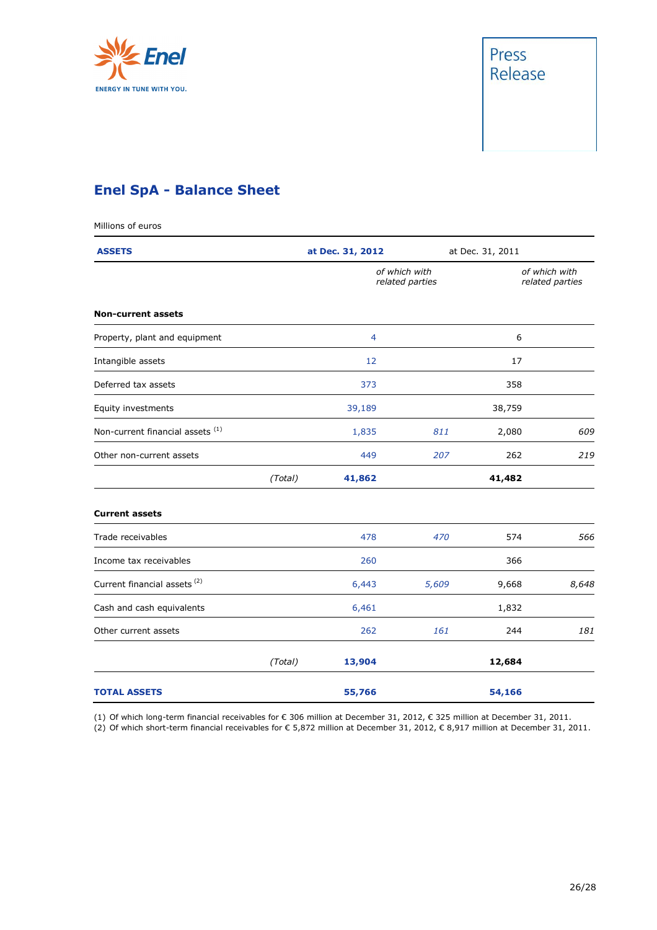



## **Enel SpA - Balance Sheet**

| Millions of euros                           |         |                                  |       |                                  |       |  |
|---------------------------------------------|---------|----------------------------------|-------|----------------------------------|-------|--|
| <b>ASSETS</b>                               |         | at Dec. 31, 2012                 |       | at Dec. 31, 2011                 |       |  |
|                                             |         | of which with<br>related parties |       | of which with<br>related parties |       |  |
| <b>Non-current assets</b>                   |         |                                  |       |                                  |       |  |
| Property, plant and equipment               |         | 4                                |       | 6                                |       |  |
| Intangible assets                           |         | 12                               |       | 17                               |       |  |
| Deferred tax assets                         |         | 373                              |       | 358                              |       |  |
| Equity investments                          |         | 39,189                           |       | 38,759                           |       |  |
| Non-current financial assets <sup>(1)</sup> |         | 1,835                            | 811   | 2,080                            | 609   |  |
| Other non-current assets                    |         | 449                              | 207   | 262                              | 219   |  |
|                                             | (Total) | 41,862                           |       | 41,482                           |       |  |
| <b>Current assets</b>                       |         |                                  |       |                                  |       |  |
| Trade receivables                           |         | 478                              | 470   | 574                              | 566   |  |
| Income tax receivables                      |         | 260                              |       | 366                              |       |  |
| Current financial assets <sup>(2)</sup>     |         | 6,443                            | 5,609 | 9,668                            | 8,648 |  |
| Cash and cash equivalents                   |         | 6,461                            |       | 1,832                            |       |  |
| Other current assets                        |         | 262                              | 161   | 244                              | 181   |  |
|                                             | (Total) | 13,904                           |       | 12,684                           |       |  |
| <b>TOTAL ASSETS</b>                         |         | 55,766                           |       | 54,166                           |       |  |

(1) Of which long-term financial receivables for € 306 million at December 31, 2012, € 325 million at December 31, 2011.

(2) Of which short-term financial receivables for € 5,872 million at December 31, 2012, € 8,917 million at December 31, 2011.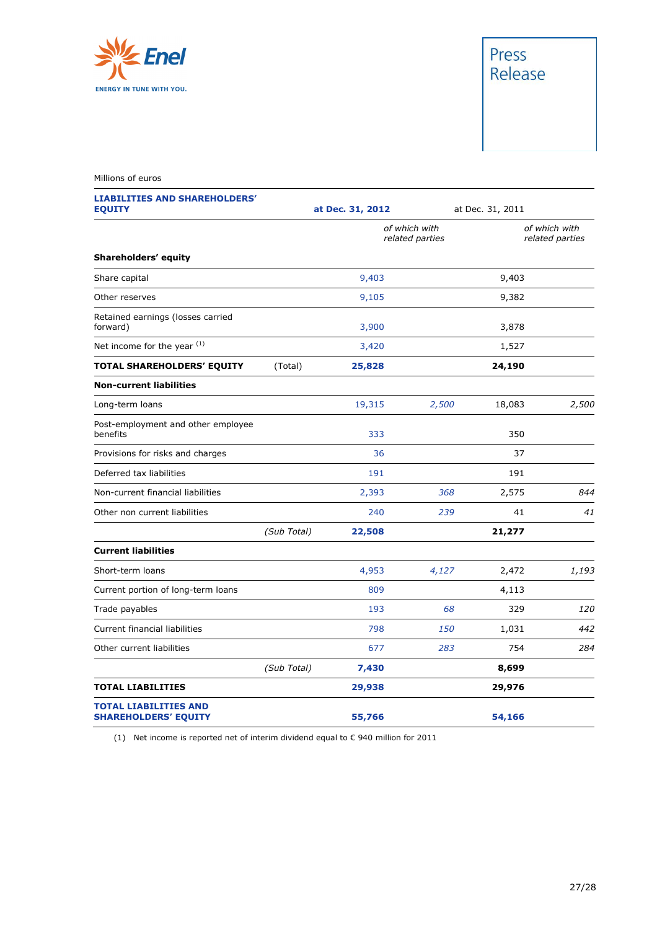

## Press Release

#### Millions of euros

**LIABILITIES AND SHAREHOLDERS'** 

| <b>EQUITY</b>                                               |             | at Dec. 31, 2012 |                                  | at Dec. 31, 2011 |                                  |  |
|-------------------------------------------------------------|-------------|------------------|----------------------------------|------------------|----------------------------------|--|
|                                                             |             |                  | of which with<br>related parties |                  | of which with<br>related parties |  |
| Shareholders' equity                                        |             |                  |                                  |                  |                                  |  |
| Share capital                                               |             | 9,403            |                                  | 9,403            |                                  |  |
| Other reserves                                              |             | 9,105            |                                  | 9,382            |                                  |  |
| Retained earnings (losses carried<br>forward)               |             | 3,900            |                                  | 3,878            |                                  |  |
| Net income for the year $(1)$                               |             | 3,420            |                                  | 1,527            |                                  |  |
| TOTAL SHAREHOLDERS' EQUITY                                  | (Total)     | 25,828           |                                  | 24,190           |                                  |  |
| <b>Non-current liabilities</b>                              |             |                  |                                  |                  |                                  |  |
| Long-term loans                                             |             | 19,315           | 2,500                            | 18,083           | 2,500                            |  |
| Post-employment and other employee<br>benefits              |             | 333              |                                  | 350              |                                  |  |
| Provisions for risks and charges                            |             | 36               |                                  | 37               |                                  |  |
| Deferred tax liabilities                                    |             | 191              |                                  | 191              |                                  |  |
| Non-current financial liabilities                           |             | 2,393            | 368                              | 2,575            | 844                              |  |
| Other non current liabilities                               |             | 240              | 239                              | 41               | 41                               |  |
|                                                             | (Sub Total) | 22,508           |                                  | 21,277           |                                  |  |
| <b>Current liabilities</b>                                  |             |                  |                                  |                  |                                  |  |
| Short-term loans                                            |             | 4,953            | 4,127                            | 2,472            | 1,193                            |  |
| Current portion of long-term loans                          |             | 809              |                                  | 4,113            |                                  |  |
| Trade payables                                              |             | 193              | 68                               | 329              | 120                              |  |
| Current financial liabilities                               |             | 798              | 150                              | 1,031            | 442                              |  |
| Other current liabilities                                   |             | 677              | 283                              | 754              | 284                              |  |
|                                                             | (Sub Total) | 7,430            |                                  | 8,699            |                                  |  |
| <b>TOTAL LIABILITIES</b>                                    |             | 29,938           |                                  | 29,976           |                                  |  |
| <b>TOTAL LIABILITIES AND</b><br><b>SHAREHOLDERS' EQUITY</b> |             | 55,766           |                                  | 54,166           |                                  |  |

(1) Net income is reported net of interim dividend equal to € 940 million for 2011